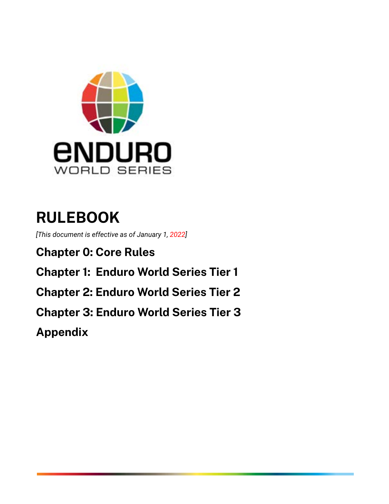

# **RULEBOOK**

 *[This document is effective as of January 1, 2022]* 

 **Chapter 0: Core Rules Chapter 1: Enduro World Series Tier 1 Chapter 2: Enduro World Series Tier 2 Chapter 3: Enduro World Series Tier 3** 

 **Appendix**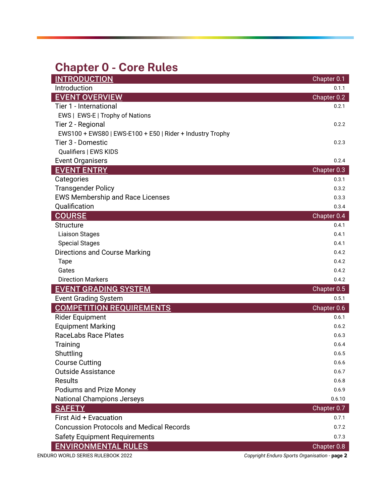# <span id="page-1-0"></span> **Chapter 0 - Core Rules**

| <b>INTRODUCTION</b>                                       | Chapter 0.1                                   |
|-----------------------------------------------------------|-----------------------------------------------|
| Introduction                                              | 0.1.1                                         |
| <b>EVENT OVERVIEW</b>                                     | Chapter 0.2                                   |
| Tier 1 - International                                    | 0.2.1                                         |
| EWS   EWS-E   Trophy of Nations                           |                                               |
| Tier 2 - Regional                                         | 0.2.2                                         |
| EWS100 + EWS80   EWS-E100 + E50   Rider + Industry Trophy |                                               |
| Tier 3 - Domestic                                         | 0.2.3                                         |
| Qualifiers   EWS KIDS                                     |                                               |
| <b>Event Organisers</b>                                   | 0.2.4                                         |
| <b>EVENT ENTRY</b>                                        | Chapter 0.3                                   |
| Categories                                                | 0.3.1                                         |
| <b>Transgender Policy</b>                                 | 0.3.2                                         |
| <b>EWS Membership and Race Licenses</b>                   | 0.3.3                                         |
| Qualification                                             | 0.3.4                                         |
| <b>COURSE</b>                                             | Chapter 0.4                                   |
| <b>Structure</b>                                          | 0.4.1                                         |
| <b>Liaison Stages</b>                                     | 0.4.1                                         |
| <b>Special Stages</b>                                     | 0.4.1                                         |
| <b>Directions and Course Marking</b>                      | 0.4.2                                         |
| <b>Tape</b>                                               | 0.4.2                                         |
| Gates                                                     | 0.4.2                                         |
| <b>Direction Markers</b>                                  | 0.4.2                                         |
| <b>EVENT GRADING SYSTEM</b>                               | Chapter 0.5                                   |
| <b>Event Grading System</b>                               | 0.5.1                                         |
| <b>COMPETITION REQUIREMENTS</b>                           | Chapter 0.6                                   |
| <b>Rider Equipment</b>                                    | 0.6.1                                         |
| <b>Equipment Marking</b>                                  | 0.6.2                                         |
| RaceLabs Race Plates                                      | 0.6.3                                         |
| Training                                                  | 0.6.4                                         |
| Shuttling                                                 | 0.6.5                                         |
| <b>Course Cutting</b>                                     | 0.6.6                                         |
| <b>Outside Assistance</b>                                 | 0.6.7                                         |
| <b>Results</b>                                            | 0.6.8                                         |
| Podiums and Prize Money                                   | 0.6.9                                         |
| <b>National Champions Jerseys</b>                         | 0.6.10                                        |
| <b>SAFETY</b>                                             | Chapter 0.7                                   |
| First Aid + Evacuation                                    | 0.7.1                                         |
| <b>Concussion Protocols and Medical Records</b>           | 0.7.2                                         |
| <b>Safety Equipment Requirements</b>                      | 0.7.3                                         |
| <b>ENVIRONMENTAL RULES</b>                                | Chapter 0.8                                   |
| ENDURO WORLD SERIES RULEBOOK 2022                         | Copyright Enduro Sports Organisation - page 2 |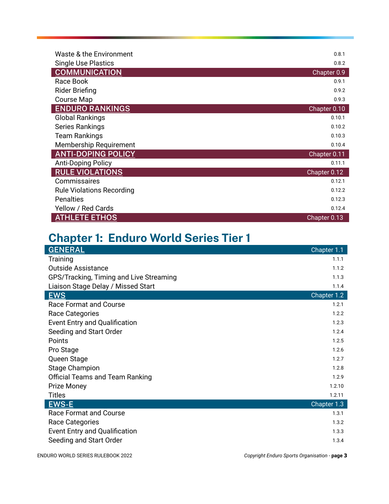| Waste & the Environment          | 0.8.1        |
|----------------------------------|--------------|
| <b>Single Use Plastics</b>       | 0.8.2        |
| <b>COMMUNICATION</b>             | Chapter 0.9  |
| Race Book                        | 0.9.1        |
| <b>Rider Briefing</b>            | 0.9.2        |
| <b>Course Map</b>                | 0.9.3        |
| <b>ENDURO RANKINGS</b>           | Chapter 0.10 |
| <b>Global Rankings</b>           | 0.10.1       |
| <b>Series Rankings</b>           | 0.10.2       |
| <b>Team Rankings</b>             | 0.10.3       |
| Membership Requirement           | 0.10.4       |
| <b>ANTI-DOPING POLICY</b>        | Chapter 0.11 |
| <b>Anti-Doping Policy</b>        | 0.11.1       |
| <b>RULE VIOLATIONS</b>           | Chapter 0.12 |
| Commissaires                     | 0.12.1       |
| <b>Rule Violations Recording</b> | 0.12.2       |
| <b>Penalties</b>                 | 0.12.3       |
| Yellow / Red Cards               | 0.12.4       |
| <b>ATHLETE ETHOS</b>             | Chapter 0.13 |

# **Chapter 1: Enduro World Series Tier 1**

| <b>GENERAL</b>                          | Chapter 1.1 |
|-----------------------------------------|-------------|
| Training                                | 1.1.1       |
| <b>Outside Assistance</b>               | 1.1.2       |
| GPS/Tracking, Timing and Live Streaming | 1.1.3       |
| Liaison Stage Delay / Missed Start      | 1.1.4       |
| <b>EWS</b>                              | Chapter 1.2 |
| <b>Race Format and Course</b>           | 1.2.1       |
| Race Categories                         | 1.2.2       |
| Event Entry and Qualification           | 1.2.3       |
| Seeding and Start Order                 | 1.2.4       |
| Points                                  | 1.2.5       |
| Pro Stage                               | 1.2.6       |
| Queen Stage                             | 1.2.7       |
| <b>Stage Champion</b>                   | 1.2.8       |
| <b>Official Teams and Team Ranking</b>  | 1.2.9       |
| Prize Money                             | 1.2.10      |
| <b>Titles</b>                           | 1.2.11      |
| <b>EWS-E</b>                            | Chapter 1.3 |
| <b>Race Format and Course</b>           | 1.3.1       |
| Race Categories                         | 1.3.2       |
| Event Entry and Qualification           | 1.3.3       |
| Seeding and Start Order                 | 1.3.4       |

ENDURO WORLD SERIES RULEBOOK 2022 *Copyright Enduro Sports Organisation -* **page 3**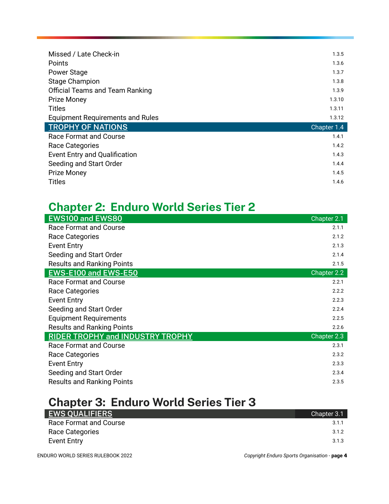| Missed / Late Check-in                  | 1.3.5       |
|-----------------------------------------|-------------|
| Points                                  | 1.3.6       |
| Power Stage                             | 1.3.7       |
| <b>Stage Champion</b>                   | 1.3.8       |
| <b>Official Teams and Team Ranking</b>  | 1.3.9       |
| <b>Prize Money</b>                      | 1.3.10      |
| <b>Titles</b>                           | 1.3.11      |
|                                         |             |
| <b>Equipment Requirements and Rules</b> | 1.3.12      |
| <b>TROPHY OF NATIONS</b>                | Chapter 1.4 |
| <b>Race Format and Course</b>           | 1.4.1       |
| Race Categories                         | 1.4.2       |
| <b>Event Entry and Qualification</b>    | 1.4.3       |
| Seeding and Start Order                 | 1.4.4       |
| <b>Prize Money</b>                      | 1.4.5       |

# **Chapter 2: Enduro World Series Tier 2**

| <b>EWS100 and EWS80</b>                 | Chapter 2.1 |
|-----------------------------------------|-------------|
| Race Format and Course                  | 2.1.1       |
| Race Categories                         | 2.1.2       |
| <b>Event Entry</b>                      | 2.1.3       |
| Seeding and Start Order                 | 2.1.4       |
| <b>Results and Ranking Points</b>       | 2.1.5       |
| EWS-E100 and EWS-E50                    | Chapter 2.2 |
| <b>Race Format and Course</b>           | 2.2.1       |
| Race Categories                         | 2.2.2       |
| <b>Event Entry</b>                      | 2.2.3       |
| Seeding and Start Order                 | 2.2.4       |
| <b>Equipment Requirements</b>           | 2.2.5       |
| <b>Results and Ranking Points</b>       | 2.2.6       |
| <b>RIDER TROPHY and INDUSTRY TROPHY</b> | Chapter 2.3 |
| Race Format and Course                  | 2.3.1       |
| Race Categories                         | 2.3.2       |
| <b>Event Entry</b>                      | 2.3.3       |
| Seeding and Start Order                 | 2.3.4       |
| <b>Results and Ranking Points</b>       | 2.3.5       |

# **Chapter 3: Enduro World Series Tier 3**

| <b>EWS QUALIFIERS</b>  | Chapter 3.1 |
|------------------------|-------------|
| Race Format and Course | 3.1.1       |
| Race Categories        | 3.1.2       |
| <b>Event Entry</b>     | 3.1.3       |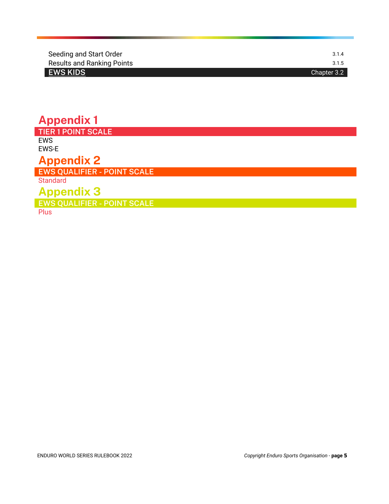| Seeding and Start Order           | 3.1.4       |
|-----------------------------------|-------------|
| <b>Results and Ranking Points</b> | 3.1.5       |
| <b>EWS KIDS</b>                   | Chapter 3.2 |

## **Appendix 1 TIER 1 POINT SCALE**

**EWS** EWS-E

# **Appendix 2**

 **EWS QUALIFIER - POINT SCALE** 

Standard

# **Appendix 3**

 **EWS QUALIFIER - POINT SCALE** 

**Plus**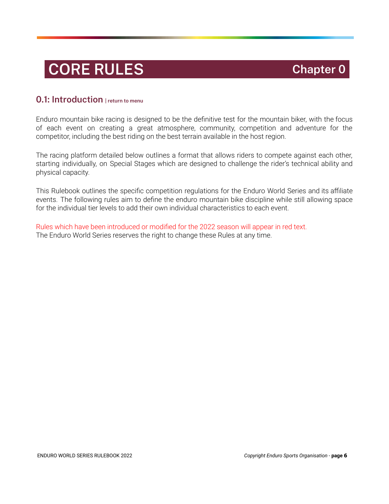# **CORE RULES Chapter 0 Chapter 0**

#### <span id="page-5-0"></span> **0.1: Introduction [| return to menu](#page-1-0)**

 Enduro mountain bike racing is designed to be the definitive test for the mountain biker, with the focus of each event on creating a great atmosphere, community, competition and adventure for the competitor, including the best riding on the best terrain available in the host region.

 The racing platform detailed below outlines a format that allows riders to compete against each other, starting individually, on Special Stages which are designed to challenge the rider's technical ability and physical capacity.

 This Rulebook outlines the specific competition regulations for the Enduro World Series and its affiliate events. The following rules aim to define the enduro mountain bike discipline while still allowing space for the individual tier levels to add their own individual characteristics to each event.

 Rules which have been introduced or modified for the 2022 season will appear in red text. The Enduro World Series reserves the right to change these Rules at any time.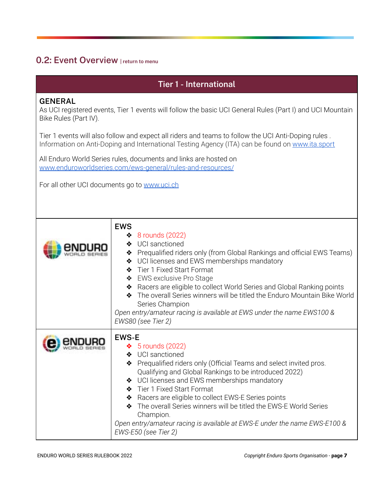## <span id="page-6-0"></span> **0.2: Event Overview [| return to menu](#page-1-0)**

#### **Tier 1 - International**

#### **GENERAL**

 As UCI registered events, Tier 1 events will follow the basic UCI General Rules (Part I) and UCI Mountain Bike Rules (Part IV).

 Tier 1 events will also follow and expect all riders and teams to follow the UCI Anti-Doping rules . Information on Anti-Doping and International Testing Agency (ITA) can be found on [www.ita.sport](http://www.ita.sport/) 

 All Enduro World Series rules, documents and links are hosted on  [www.enduroworldseries.com/ews-general/rules-and-resources/](http://www.enduroworldseries.com/ews-general/rules-and-resources/)

For all other UCI documents go to [www.uci.ch](http://www.uch.ch/)

| <b>EWS</b><br>$\triangleleft$ 8 rounds (2022)<br>❖ UCI sanctioned<br>Prequalified riders only (from Global Rankings and official EWS Teams)<br>❖<br>♦ UCI licenses and EWS memberships mandatory<br>Tier 1 Fixed Start Format<br>❖ EWS exclusive Pro Stage<br>◆ Racers are eligible to collect World Series and Global Ranking points<br>◆ The overall Series winners will be titled the Enduro Mountain Bike World<br>Series Champion<br>Open entry/amateur racing is available at EWS under the name EWS100 &<br>EWS80 (see Tier 2) |
|---------------------------------------------------------------------------------------------------------------------------------------------------------------------------------------------------------------------------------------------------------------------------------------------------------------------------------------------------------------------------------------------------------------------------------------------------------------------------------------------------------------------------------------|
| <b>EWS-E</b><br>$\bullet$ 5 rounds (2022)<br>❖ UCI sanctioned<br>Prequalified riders only (Official Teams and select invited pros.<br>❖<br>Qualifying and Global Rankings to be introduced 2022)<br>♦ UCI licenses and EWS memberships mandatory<br>Tier 1 Fixed Start Format<br>◆ Racers are eligible to collect EWS-E Series points<br>The overall Series winners will be titled the EWS-E World Series<br>Champion.<br>Open entry/amateur racing is available at EWS-E under the name EWS-E100 &<br>EWS-E50 (see Tier 2)           |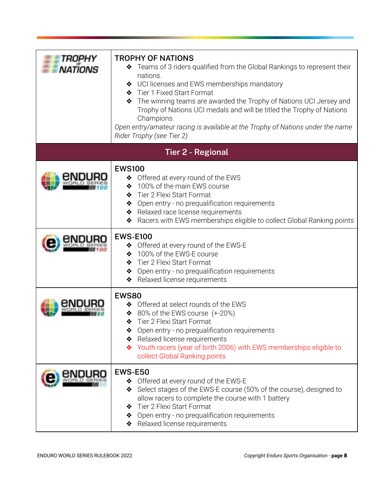| <b>TROPHY OF NATIONS</b><br>◆ Teams of 3 riders qualified from the Global Rankings to represent their<br>nations.<br>♦ UCI licenses and EWS memberships mandatory<br>◆ Tier 1 Fixed Start Format<br>The winning teams are awarded the Trophy of Nations UCI Jersey and<br>Trophy of Nations UCI medals and will be titled the Trophy of Nations<br>Champions.<br>Open entry/amateur racing is available at the Trophy of Nations under the name<br>Rider Trophy (see Tier 2) |
|------------------------------------------------------------------------------------------------------------------------------------------------------------------------------------------------------------------------------------------------------------------------------------------------------------------------------------------------------------------------------------------------------------------------------------------------------------------------------|
| <b>Tier 2 - Regional</b>                                                                                                                                                                                                                                                                                                                                                                                                                                                     |
| <b>EWS100</b><br>♦ Offered at every round of the EWS<br>100% of the main EWS course<br>❖<br>Tier 2 Flexi Start Format<br>❖<br>Open entry - no prequalification requirements<br>❖<br>Relaxed race license requirements<br>Racers with EWS memberships eligible to collect Global Ranking points<br>❖                                                                                                                                                                          |
| <b>EWS-E100</b><br>♦ Offered at every round of the EWS-E<br>100% of the EWS-E course<br>❖<br>Tier 2 Flexi Start Format<br>❖<br>Open entry - no prequalification requirements<br>❖<br>Relaxed license requirements<br>❖                                                                                                                                                                                                                                                       |
| <b>EWS80</b><br>♦ Offered at select rounds of the EWS<br>80% of the EWS course (+-20%)<br>❖<br>Tier 2 Flexi Start Format<br>❖<br>Open entry - no prequalification requirements<br>❖<br>* Relaxed license requirements<br>Youth racers (year of birth 2006) with EWS memberships eligible to<br>collect Global Ranking points                                                                                                                                                 |
| <b>EWS-E50</b><br>♦ Offered at every round of the EWS-E<br>Select stages of the EWS-E course (50% of the course), designed to<br>❖<br>allow racers to complete the course with 1 battery<br>Tier 2 Flexi Start Format<br>❖<br>Open entry - no prequalification requirements<br>❖<br>Relaxed license requirements                                                                                                                                                             |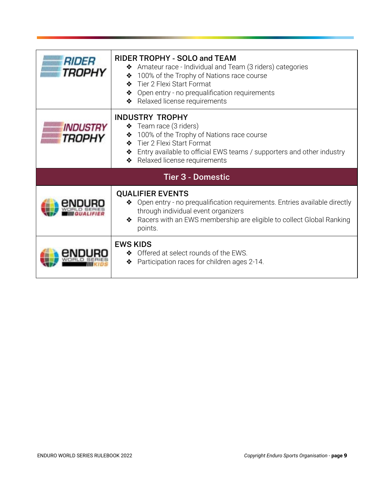| <b>RIDER</b><br>TROPHY    | RIDER TROPHY - SOLO and TEAM<br>Amateur race - Individual and Team (3 riders) categories<br>❖<br>100% of the Trophy of Nations race course<br>❖<br>Tier 2 Flexi Start Format<br>❖<br>Open entry - no prequalification requirements<br>Relaxed license requirements |  |  |
|---------------------------|--------------------------------------------------------------------------------------------------------------------------------------------------------------------------------------------------------------------------------------------------------------------|--|--|
| <i>INDUSTRY</i><br>TROPHY | <b>INDUSTRY TROPHY</b><br>Team race (3 riders)<br>❖<br>100% of the Trophy of Nations race course<br>❖<br>Tier 2 Flexi Start Format<br>Entry available to official EWS teams / supporters and other industry<br>❖<br>Relaxed license requirements<br>❖              |  |  |
|                           | <b>Tier 3 - Domestic</b>                                                                                                                                                                                                                                           |  |  |
|                           | <b>QUALIFIER EVENTS</b><br>◆ Open entry - no prequalification requirements. Entries available directly<br>through individual event organizers<br>Racers with an EWS membership are eligible to collect Global Ranking<br>❖<br>points.                              |  |  |
|                           | <b>EWS KIDS</b><br>♦ Offered at select rounds of the EWS.<br>Participation races for children ages 2-14.<br>❖                                                                                                                                                      |  |  |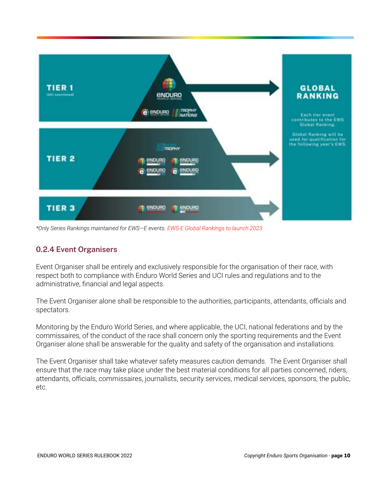

 *\*Only Series Rankings maintained for EWS—E events. EWS-E Global Rankings to launch 2023* 

#### **0.2.4 Event Organisers**

 Event Organiser shall be entirely and exclusively responsible for the organisation of their race, with respect both to compliance with Enduro World Series and UCI rules and regulations and to the administrative, financial and legal aspects.

 The Event Organiser alone shall be responsible to the authorities, participants, attendants, officials and spectators.

 Monitoring by the Enduro World Series, and where applicable, the UCI, national federations and by the commissaires, of the conduct of the race shall concern only the sporting requirements and the Event Organiser alone shall be answerable for the quality and safety of the organisation and installations.

 The Event Organiser shall take whatever safety measures caution demands. The Event Organiser shall ensure that the race may take place under the best material conditions for all parties concerned, riders, attendants, officials, commissaires, journalists, security services, medical services, sponsors, the public, etc.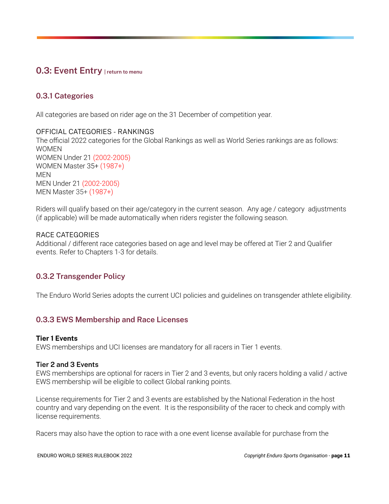### <span id="page-10-0"></span> **0.3: Event Entry [| return to menu](#page-1-0)**

#### **0.3.1 Categories**

All categories are based on rider age on the 31 December of competition year.

#### OFFICIAL CATEGORIES - RANKINGS

 The official 2022 categories for the Global Rankings as well as World Series rankings are as follows: WOMEN WOMEN Under 21 (2002-2005) WOMEN Master 35+ (1987+) MEN MEN Under 21 (2002-2005) MEN Master 35+ (1987+)

 Riders will qualify based on their age/category in the current season. Any age / category adjustments (if applicable) will be made automatically when riders register the following season.

#### RACE CATEGORIES

 Additional / different race categories based on age and level may be offered at Tier 2 and Qualifier events. Refer to Chapters 1-3 for details.

#### **0.3.2 Transgender Policy**

The Enduro World Series adopts the current UCI policies and guidelines on transgender athlete eligibility.

#### **0.3.3 EWS Membership and Race Licenses**

#### **Tier 1 Events**

EWS memberships and UCI licenses are mandatory for all racers in Tier 1 events.

#### **Tier 2 and 3 Events**

 EWS memberships are optional for racers in Tier 2 and 3 events, but only racers holding a valid / active EWS membership will be eligible to collect Global ranking points.

 License requirements for Tier 2 and 3 events are established by the National Federation in the host country and vary depending on the event. It is the responsibility of the racer to check and comply with license requirements.

Racers may also have the option to race with a one event license available for purchase from the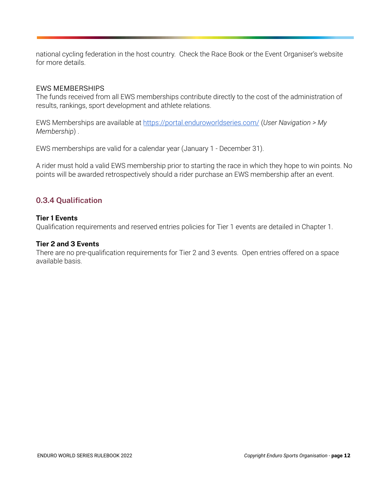national cycling federation in the host country. Check the Race Book or the Event Organiser's website for more details.

#### EWS MEMBERSHIPS

 The funds received from all EWS memberships contribute directly to the cost of the administration of results, rankings, sport development and athlete relations.

 EWS Memberships are available at <https://portal.enduroworldseries.com/>( *User Navigation > My Membership* ) .

EWS memberships are valid for a calendar year (January 1 - December 31).

 A rider must hold a valid EWS membership prior to starting the race in which they hope to win points. No points will be awarded retrospectively should a rider purchase an EWS membership after an event.

#### **0.3.4 Qualification**

#### **Tier 1 Events**

Qualification requirements and reserved entries policies for Tier 1 events are detailed in Chapter 1.

#### **Tier 2 and 3 Events**

 There are no pre-qualification requirements for Tier 2 and 3 events. Open entries offered on a space available basis.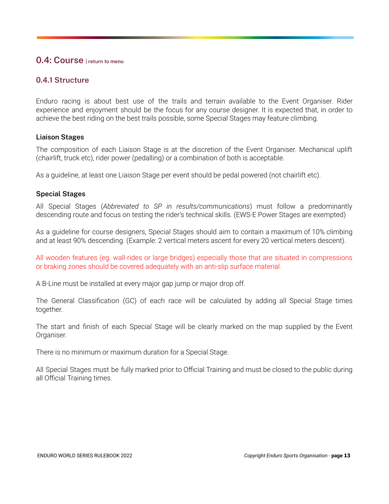#### <span id="page-12-0"></span> **0.4: Course [| return to menu](#page-1-0)**

#### **0.4.1 Structure**

 Enduro racing is about best use of the trails and terrain available to the Event Organiser. Rider experience and enjoyment should be the focus for any course designer. It is expected that, in order to achieve the best riding on the best trails possible, some Special Stages may feature climbing.

#### **Liaison Stages**

 The composition of each Liaison Stage is at the discretion of the Event Organiser. Mechanical uplift (chairlift, truck etc), rider power (pedalling) or a combination of both is acceptable.

As a guideline, at least one Liaison Stage per event should be pedal powered (not chairlift etc).

#### **Special Stages**

 All Special Stages ( *Abbreviated to SP in results/communications* ) must follow a predominantly descending route and focus on testing the rider's technical skills. (EWS-E Power Stages are exempted)

 As a guideline for course designers, Special Stages should aim to contain a maximum of 10% climbing and at least 90% descending. (Example: 2 vertical meters ascent for every 20 vertical meters descent).

 All wooden features (eg. wall-rides or large bridges) especially those that are situated in compressions or braking zones should be covered adequately with an anti-slip surface material.

A B-Line must be installed at every major gap jump or major drop off.

 The General Classification (GC) of each race will be calculated by adding all Special Stage times together.

 The start and finish of each Special Stage will be clearly marked on the map supplied by the Event Organiser.

There is no minimum or maximum duration for a Special Stage.

 All Special Stages must be fully marked prior to Official Training and must be closed to the public during all Official Training times.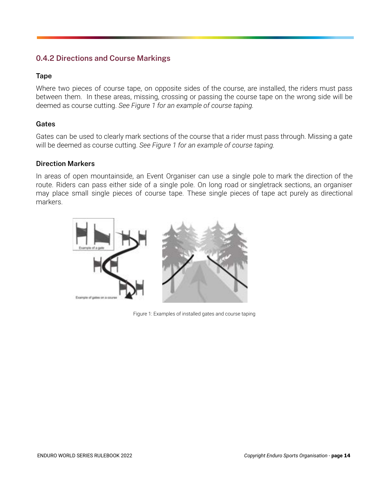#### **0.4.2 Directions and Course Markings**

#### **Tape**

 Where two pieces of course tape, on opposite sides of the course, are installed, the riders must pass between them. In these areas, missing, crossing or passing the course tape on the wrong side will be deemed as course cutting. *See Figure 1 for an example of course taping.* 

#### **Gates**

 Gates can be used to clearly mark sections of the course that a rider must pass through. Missing a gate will be deemed as course cutting. *See Figure 1 for an example of course taping.* 

#### **Direction Markers**

 In areas of open mountainside, an Event Organiser can use a single pole to mark the direction of the route. Riders can pass either side of a single pole. On long road or singletrack sections, an organiser may place small single pieces of course tape. These single pieces of tape act purely as directional markers.



Figure 1: Examples of installed gates and course taping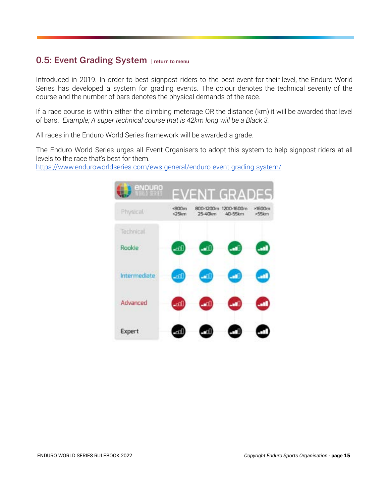### <span id="page-14-0"></span> **0.5: Event Grading System [| return to menu](#page-1-0)**

 Introduced in 2019. In order to best signpost riders to the best event for their level, the Enduro World Series has developed a system for grading events. The colour denotes the technical severity of the course and the number of bars denotes the physical demands of the race.

 If a race course is within either the climbing meterage OR the distance (km) it will be awarded that level of bars. *Example; A super technical course that is 42km long will be a Black 3.* 

All races in the Enduro World Series framework will be awarded a grade.

 The Enduro World Series urges all Event Organisers to adopt this system to help signpost riders at all levels to the race that's best for them.

<https://www.enduroworldseries.com/ews-general/enduro-event-grading-system/>

| enpuro        |                             |                      | <b>EVENT GRADES</b>   |                   |
|---------------|-----------------------------|----------------------|-----------------------|-------------------|
| Physical      | <b00m<br>&lt;25km</b00m<br> | 800-1200m<br>25-40km | 1200-1600m<br>40-55km | $*1600m$<br>>55km |
| Technical     |                             |                      |                       |                   |
| <b>Rookie</b> |                             |                      |                       |                   |
| Intermediate  | .nl                         |                      |                       |                   |
| Advanced      | mfl                         |                      |                       |                   |
| Expert        |                             |                      |                       |                   |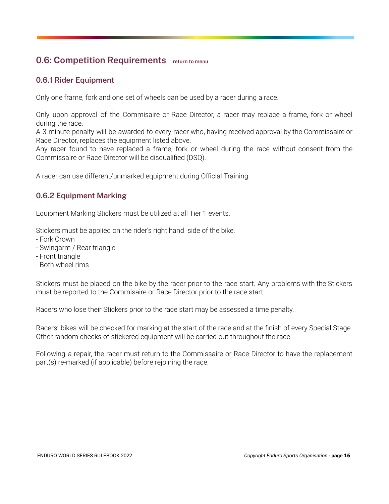### <span id="page-15-0"></span> **0.6: Competition Requirements [| return to menu](#page-1-0)**

#### **0.6.1 Rider Equipment**

Only one frame, fork and one set of wheels can be used by a racer during a race.

 Only upon approval of the Commisaire or Race Director, a racer may replace a frame, fork or wheel during the race.

 A 3 minute penalty will be awarded to every racer who, having received approval by the Commissaire or Race Director, replaces the equipment listed above.

 Any racer found to have replaced a frame, fork or wheel during the race without consent from the Commissaire or Race Director will be disqualified (DSQ).

A racer can use different/unmarked equipment during Official Training.

#### **0.6.2 Equipment Marking**

Equipment Marking Stickers must be utilized at all Tier 1 events.

Stickers must be applied on the rider's right hand side of the bike.

- Fork Crown
- Swingarm / Rear triangle
- Front triangle
- Both wheel rims

 Stickers must be placed on the bike by the racer prior to the race start. Any problems with the Stickers must be reported to the Commisaire or Race Director prior to the race start.

Racers who lose their Stickers prior to the race start may be assessed a time penalty.

 Racers' bikes will be checked for marking at the start of the race and at the finish of every Special Stage. Other random checks of stickered equipment will be carried out throughout the race.

 Following a repair, the racer must return to the Commissaire or Race Director to have the replacement part(s) re-marked (if applicable) before rejoining the race.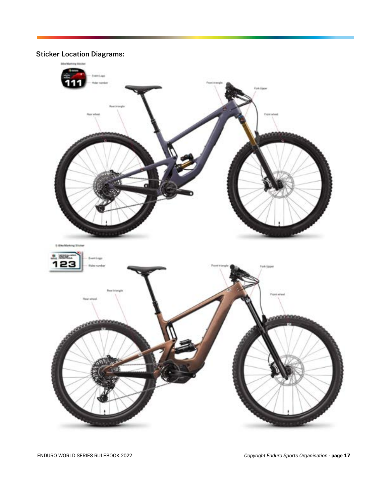**Sticker Location Diagrams:** 

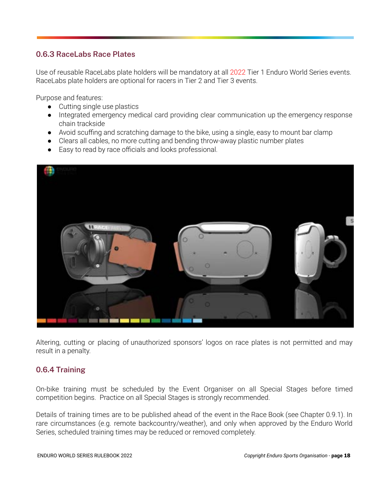#### **0.6.3 RaceLabs Race Plates**

 Use of reusable RaceLabs plate holders will be mandatory at all 2022 Tier 1 Enduro World Series events. RaceLabs plate holders are optional for racers in Tier 2 and Tier 3 events.

Purpose and features:

- Cutting single use plastics
- Integrated emergency medical card providing clear communication up the emergency response chain trackside
- Avoid scuffing and scratching damage to the bike, using a single, easy to mount bar clamp
- Clears all cables, no more cutting and bending throw-away plastic number plates
- Easy to read by race officials and looks professional.



 Altering, cutting or placing of unauthorized sponsors' logos on race plates is not permitted and may result in a penalty.

#### **0.6.4 Training**

 On-bike training must be scheduled by the Event Organiser on all Special Stages before timed competition begins. Practice on all Special Stages is strongly recommended.

 Details of training times are to be published ahead of the event in the Race Book (see Chapter 0.9.1). In rare circumstances (e.g. remote backcountry/weather), and only when approved by the Enduro World Series, scheduled training times may be reduced or removed completely.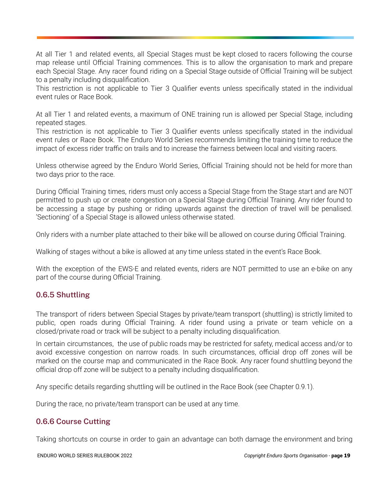At all Tier 1 and related events, all Special Stages must be kept closed to racers following the course map release until Official Training commences. This is to allow the organisation to mark and prepare each Special Stage. Any racer found riding on a Special Stage outside of Official Training will be subject to a penalty including disqualification.

 This restriction is not applicable to Tier 3 Qualifier events unless specifically stated in the individual event rules or Race Book.

 At all Tier 1 and related events, a maximum of ONE training run is allowed per Special Stage, including repeated stages.

 This restriction is not applicable to Tier 3 Qualifier events unless specifically stated in the individual event rules or Race Book. The Enduro World Series recommends limiting the training time to reduce the impact of excess rider traffic on trails and to increase the fairness between local and visiting racers.

 Unless otherwise agreed by the Enduro World Series, Official Training should not be held for more than two days prior to the race.

 During Official Training times, riders must only access a Special Stage from the Stage start and are NOT permitted to push up or create congestion on a Special Stage during Official Training. Any rider found to be accessing a stage by pushing or riding upwards against the direction of travel will be penalised. 'Sectioning' of a Special Stage is allowed unless otherwise stated.

Only riders with a number plate attached to their bike will be allowed on course during Official Training.

Walking of stages without a bike is allowed at any time unless stated in the event's Race Book.

 With the exception of the EWS-E and related events, riders are NOT permitted to use an e-bike on any part of the course during Official Training.

#### **0.6.5 Shuttling**

 The transport of riders between Special Stages by private/team transport (shuttling) is strictly limited to public, open roads during Official Training. A rider found using a private or team vehicle on a closed/private road or track will be subject to a penalty including disqualification.

 In certain circumstances, the use of public roads may be restricted for safety, medical access and/or to avoid excessive congestion on narrow roads. In such circumstances, official drop off zones will be marked on the course map and communicated in the Race Book. Any racer found shuttling beyond the official drop off zone will be subject to a penalty including disqualification.

Any specific details regarding shuttling will be outlined in the Race Book (see Chapter 0.9.1).

During the race, no private/team transport can be used at any time.

#### **0.6.6 Course Cutting**

Taking shortcuts on course in order to gain an advantage can both damage the environment and bring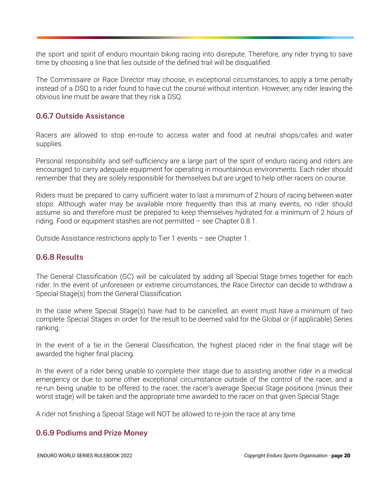the sport and spirit of enduro mountain biking racing into disrepute. Therefore, any rider trying to save time by choosing a line that lies outside of the defined trail will be disqualified.

 The Commissaire or Race Director may choose, in exceptional circumstances, to apply a time penalty instead of a DSQ to a rider found to have cut the course without intention. However, any rider leaving the obvious line must be aware that they risk a DSQ.

#### **0.6.7 Outside Assistance**

 Racers are allowed to stop en-route to access water and food at neutral shops/cafes and water supplies.

 Personal responsibility and self-sufficiency are a large part of the spirit of enduro racing and riders are encouraged to carry adequate equipment for operating in mountainous environments. Each rider should remember that they are solely responsible for themselves but are urged to help other racers on course.

 Riders must be prepared to carry sufficient water to last a minimum of 2 hours of racing between water stops. Although water may be available more frequently than this at many events, no rider should assume so and therefore must be prepared to keep themselves hydrated for a minimum of 2 hours of riding. Food or equipment stashes are not permitted – see Chapter 0.8.1.

Outside Assistance restrictions apply to Tier 1 events – see Chapter 1.

#### **0.6.8 Results**

 The General Classification (GC) will be calculated by adding all Special Stage times together for each rider. In the event of unforeseen or extreme circumstances, the Race Director can decide to withdraw a Special Stage(s) from the General Classification.

 In the case where Special Stage(s) have had to be cancelled, an event must have a minimum of two complete Special Stages in order for the result to be deemed valid for the Global or (if applicable) Series ranking.

 In the event of a tie in the General Classification, the highest placed rider in the final stage will be awarded the higher final placing.

 In the event of a rider being unable to complete their stage due to assisting another rider in a medical emergency or due to some other exceptional circumstance outside of the control of the racer, and a re-run being unable to be offered to the racer, the racer's average Special Stage positions (minus their worst stage) will be taken and the appropriate time awarded to the racer on that given Special Stage.

A rider not finishing a Special Stage will NOT be allowed to re-join the race at any time.

#### **0.6.9 Podiums and Prize Money**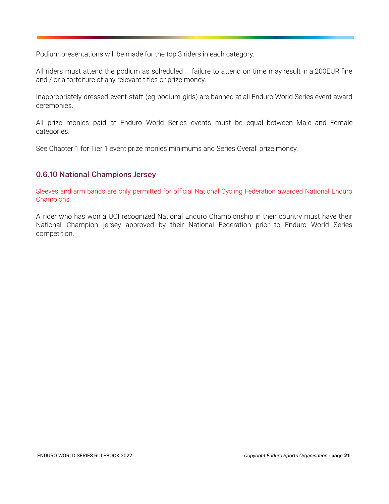Podium presentations will be made for the top 3 riders in each category.

 All riders must attend the podium as scheduled – failure to attend on time may result in a 200EUR fine and / or a forfeiture of any relevant titles or prize money.

 Inappropriately dressed event staff (eg podium girls) are banned at all Enduro World Series event award ceremonies.

 All prize monies paid at Enduro World Series events must be equal between Male and Female categories.

See Chapter 1 for Tier 1 event prize monies minimums and Series Overall prize money.

#### **0.6.10 National Champions Jersey**

 Sleeves and arm bands are only permitted for official National Cycling Federation awarded National Enduro Champions.

 A rider who has won a UCI recognized National Enduro Championship in their country must have their National Champion jersey approved by their National Federation prior to Enduro World Series competition.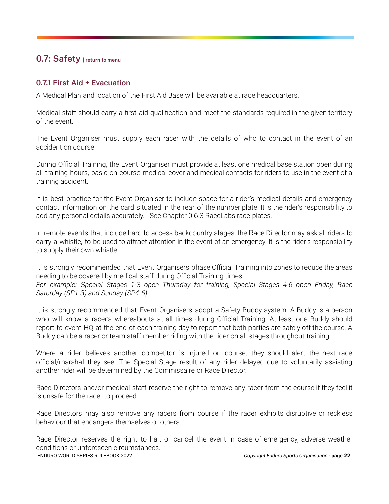#### <span id="page-21-0"></span> **0.7: Safety [| return to menu](#page-1-0)**

#### **0.7.1 First Aid + Evacuation**

A Medical Plan and location of the First Aid Base will be available at race headquarters.

 Medical staff should carry a first aid qualification and meet the standards required in the given territory of the event.

 The Event Organiser must supply each racer with the details of who to contact in the event of an accident on course.

 During Official Training, the Event Organiser must provide at least one medical base station open during all training hours, basic on course medical cover and medical contacts for riders to use in the event of a training accident.

 It is best practice for the Event Organiser to include space for a rider's medical details and emergency contact information on the card situated in the rear of the number plate. It is the rider's responsibility to add any personal details accurately. See Chapter 0.6.3 RaceLabs race plates.

 In remote events that include hard to access backcountry stages, the Race Director may ask all riders to carry a whistle, to be used to attract attention in the event of an emergency. It is the rider's responsibility to supply their own whistle.

 It is strongly recommended that Event Organisers phase Official Training into zones to reduce the areas needing to be covered by medical staff during Official Training times.  *For example: Special Stages 1-3 open Thursday for training, Special Stages 4-6 open Friday, Race Saturday (SP1-3) and Sunday (SP4-6)* 

 It is strongly recommended that Event Organisers adopt a Safety Buddy system. A Buddy is a person who will know a racer's whereabouts at all times during Official Training. At least one Buddy should report to event HQ at the end of each training day to report that both parties are safely off the course. A Buddy can be a racer or team staff member riding with the rider on all stages throughout training.

Where a rider believes another competitor is injured on course, they should alert the next race official/marshal they see. The Special Stage result of any rider delayed due to voluntarily assisting another rider will be determined by the Commissaire or Race Director.

 Race Directors and/or medical staff reserve the right to remove any racer from the course if they feel it is unsafe for the racer to proceed.

 Race Directors may also remove any racers from course if the racer exhibits disruptive or reckless behaviour that endangers themselves or others.

 Race Director reserves the right to halt or cancel the event in case of emergency, adverse weather conditions or unforeseen circumstances. ENDURO WORLD SERIES RULEBOOK 2022 *Copyright Enduro Sports Organisation -* **page 22**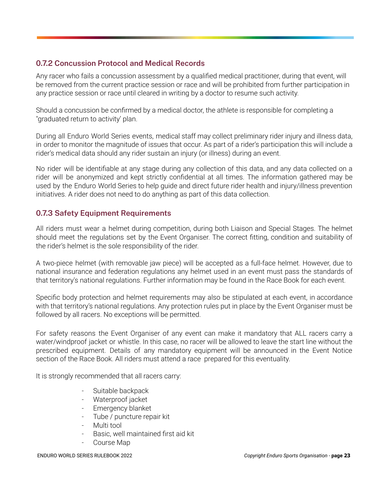#### **0.7.2 Concussion Protocol and Medical Records**

 Any racer who fails a concussion assessment by a qualified medical practitioner, during that event, will be removed from the current practice session or race and will be prohibited from further participation in any practice session or race until cleared in writing by a doctor to resume such activity.

 Should a concussion be confirmed by a medical doctor, the athlete is responsible for completing a "graduated return to activity' plan.

 During all Enduro World Series events, medical staff may collect preliminary rider injury and illness data, in order to monitor the magnitude of issues that occur. As part of a rider's participation this will include a rider's medical data should any rider sustain an injury (or illness) during an event.

 No rider will be identifiable at any stage during any collection of this data, and any data collected on a rider will be anonymized and kept strictly confidential at all times. The information gathered may be used by the Enduro World Series to help guide and direct future rider health and injury/illness prevention initiatives. A rider does not need to do anything as part of this data collection.

#### **0.7.3 Safety Equipment Requirements**

 All riders must wear a helmet during competition, during both Liaison and Special Stages. The helmet should meet the regulations set by the Event Organiser. The correct fitting, condition and suitability of the rider's helmet is the sole responsibility of the rider.

 A two-piece helmet (with removable jaw piece) will be accepted as a full-face helmet. However, due to national insurance and federation regulations any helmet used in an event must pass the standards of that territory's national regulations. Further information may be found in the Race Book for each event.

 Specific body protection and helmet requirements may also be stipulated at each event, in accordance with that territory's national regulations. Any protection rules put in place by the Event Organiser must be followed by all racers. No exceptions will be permitted.

 For safety reasons the Event Organiser of any event can make it mandatory that ALL racers carry a water/windproof jacket or whistle. In this case, no racer will be allowed to leave the start line without the prescribed equipment. Details of any mandatory equipment will be announced in the Event Notice section of the Race Book. All riders must attend a race prepared for this eventuality.

It is strongly recommended that all racers carry:

- Suitable backpack
- Waterproof jacket
- Emergency blanket
- Tube / puncture repair kit
- Multi tool
- Basic, well maintained first aid kit
- Course Map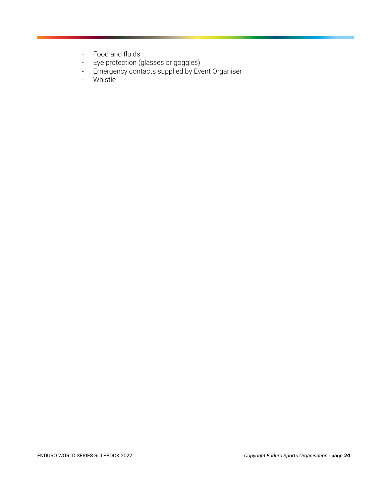- Food and fluids
- Eye protection (glasses or goggles)
- Emergency contacts supplied by Event Organiser
- Whistle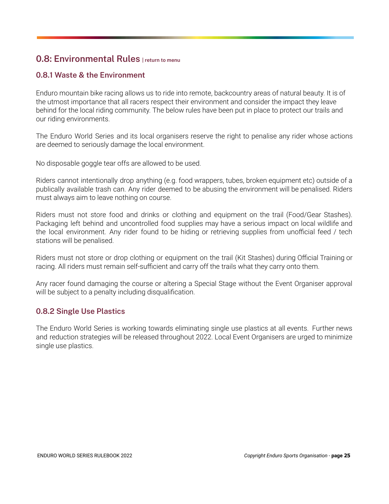#### <span id="page-24-0"></span> **0.8: Environmental Rules [| return to menu](#page-1-0)**

#### **0.8.1 Waste & the Environment**

 Enduro mountain bike racing allows us to ride into remote, backcountry areas of natural beauty. It is of the utmost importance that all racers respect their environment and consider the impact they leave behind for the local riding community. The below rules have been put in place to protect our trails and our riding environments.

 The Enduro World Series and its local organisers reserve the right to penalise any rider whose actions are deemed to seriously damage the local environment.

No disposable goggle tear offs are allowed to be used.

 Riders cannot intentionally drop anything (e.g. food wrappers, tubes, broken equipment etc) outside of a publically available trash can. Any rider deemed to be abusing the environment will be penalised. Riders must always aim to leave nothing on course.

 Riders must not store food and drinks or clothing and equipment on the trail (Food/Gear Stashes). Packaging left behind and uncontrolled food supplies may have a serious impact on local wildlife and the local environment. Any rider found to be hiding or retrieving supplies from unofficial feed / tech stations will be penalised.

 Riders must not store or drop clothing or equipment on the trail (Kit Stashes) during Official Training or racing. All riders must remain self-sufficient and carry off the trails what they carry onto them.

 Any racer found damaging the course or altering a Special Stage without the Event Organiser approval will be subject to a penalty including disqualification.

#### **0.8.2 Single Use Plastics**

 The Enduro World Series is working towards eliminating single use plastics at all events. Further news and reduction strategies will be released throughout 2022. Local Event Organisers are urged to minimize single use plastics.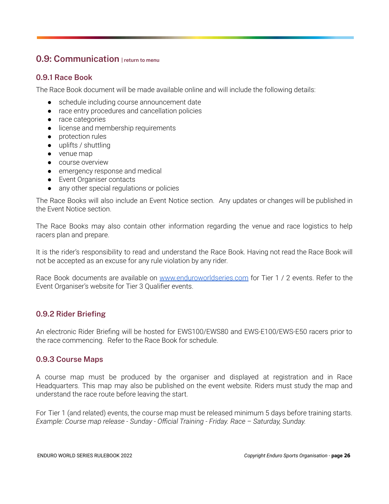#### <span id="page-25-0"></span> **0.9: Communication [| return to menu](#page-1-0)**

#### **0.9.1 Race Book**

The Race Book document will be made available online and will include the following details:

- schedule including course announcement date
- race entry procedures and cancellation policies
- race categories
- license and membership requirements
- protection rules
- uplifts / shuttling
- venue map
- course overview
- emergency response and medical
- Event Organiser contacts
- any other special regulations or policies

 The Race Books will also include an Event Notice section. Any updates or changes will be published in the Event Notice section.

 The Race Books may also contain other information regarding the venue and race logistics to help racers plan and prepare.

 It is the rider's responsibility to read and understand the Race Book. Having not read the Race Book will not be accepted as an excuse for any rule violation by any rider.

 Race Book documents are available on [www.enduroworldseries.com](http://www.enduroworldseries.com/) for Tier 1 / 2 events. Refer to the Event Organiser's website for Tier 3 Qualifier events.

#### **0.9.2 Rider Briefing**

 An electronic Rider Briefing will be hosted for EWS100/EWS80 and EWS-E100/EWS-E50 racers prior to the race commencing. Refer to the Race Book for schedule.

#### **0.9.3 Course Maps**

 A course map must be produced by the organiser and displayed at registration and in Race Headquarters. This map may also be published on the event website. Riders must study the map and understand the race route before leaving the start.

 For Tier 1 (and related) events, the course map must be released minimum 5 days before training starts.  *Example: Course map release - Sunday - Official Training - Friday. Race – Saturday, Sunday.*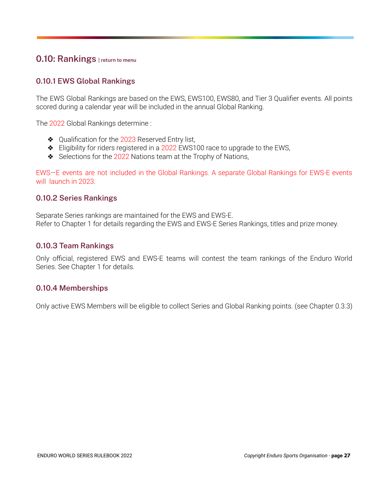#### <span id="page-26-0"></span> **0.10: Rankings [| return to menu](#page-1-0)**

#### **0.10.1 EWS Global Rankings**

 The EWS Global Rankings are based on the EWS, EWS100, EWS80, and Tier 3 Qualifier events. All points scored during a calendar year will be included in the annual Global Ranking.

The 2022 Global Rankings determine :

- ❖ Qualification for the 2023 Reserved Entry list,
- ❖ Eligibility for riders registered in a 2022 EWS100 race to upgrade to the EWS,
- ❖ Selections for the 2022 Nations team at the Trophy of Nations,

 EWS—E events are not included in the Global Rankings. A separate Global Rankings for EWS-E events will launch in 2023.

#### **0.10.2 Series Rankings**

 Separate Series rankings are maintained for the EWS and EWS-E. Refer to Chapter 1 for details regarding the EWS and EWS-E Series Rankings, titles and prize money.

#### **0.10.3 Team Rankings**

 Only official, registered EWS and EWS-E teams will contest the team rankings of the Enduro World Series. See Chapter 1 for details.

#### **0.10.4 Memberships**

Only active EWS Members will be eligible to collect Series and Global Ranking points. (see Chapter 0.3.3)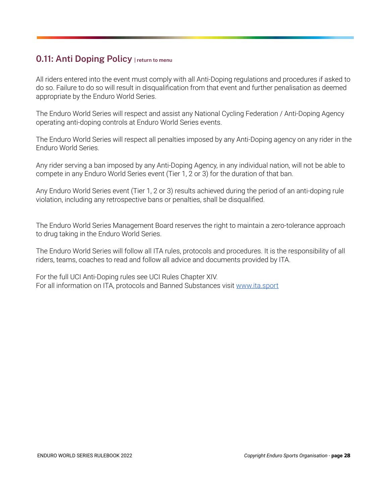#### <span id="page-27-0"></span> **0.11: Anti Doping Policy [| return to menu](#page-1-0)**

 All riders entered into the event must comply with all Anti-Doping regulations and procedures if asked to do so. Failure to do so will result in disqualification from that event and further penalisation as deemed appropriate by the Enduro World Series.

 The Enduro World Series will respect and assist any National Cycling Federation / Anti-Doping Agency operating anti-doping controls at Enduro World Series events.

 The Enduro World Series will respect all penalties imposed by any Anti-Doping agency on any rider in the Enduro World Series.

 Any rider serving a ban imposed by any Anti-Doping Agency, in any individual nation, will not be able to compete in any Enduro World Series event (Tier 1, 2 or 3) for the duration of that ban.

 Any Enduro World Series event (Tier 1, 2 or 3) results achieved during the period of an anti-doping rule violation, including any retrospective bans or penalties, shall be disqualified.

 The Enduro World Series Management Board reserves the right to maintain a zero-tolerance approach to drug taking in the Enduro World Series.

 The Enduro World Series will follow all ITA rules, protocols and procedures. It is the responsibility of all riders, teams, coaches to read and follow all advice and documents provided by ITA.

 For the full UCI Anti-Doping rules see UCI Rules Chapter XIV. For all information on ITA, protocols and Banned Substances visit [www.ita.sport](http://www.ita.sport/)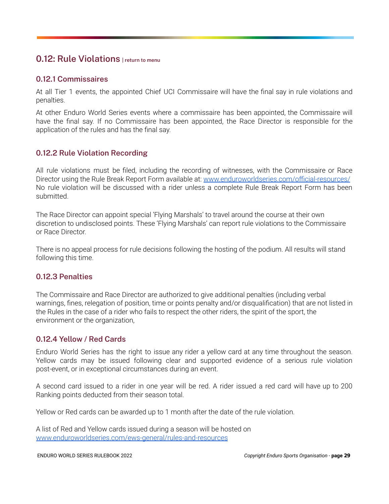#### <span id="page-28-0"></span> **0.12: Rule Violations [| return to menu](#page-1-0)**

#### **0.12.1 Commissaires**

 At all Tier 1 events, the appointed Chief UCI Commissaire will have the final say in rule violations and penalties.

 At other Enduro World Series events where a commissaire has been appointed, the Commissaire will have the final say. If no Commissaire has been appointed, the Race Director is responsible for the application of the rules and has the final say.

#### **0.12.2 Rule Violation Recording**

 All rule violations must be filed, including the recording of witnesses, with the Commissaire or Race Director using the Rule Break Report Form available at: [www.enduroworldseries.com/official-resources/](http://www.enduroworldseries.com/official-resources/) No rule violation will be discussed with a rider unless a complete Rule Break Report Form has been submitted.

 The Race Director can appoint special 'Flying Marshals' to travel around the course at their own discretion to undisclosed points. These 'Flying Marshals' can report rule violations to the Commissaire or Race Director.

 There is no appeal process for rule decisions following the hosting of the podium. All results will stand following this time.

#### **0.12.3 Penalties**

 The Commissaire and Race Director are authorized to give additional penalties (including verbal warnings, fines, relegation of position, time or points penalty and/or disqualification) that are not listed in the Rules in the case of a rider who fails to respect the other riders, the spirit of the sport, the environment or the organization,

#### **0.12.4 Yellow / Red Cards**

 Enduro World Series has the right to issue any rider a yellow card at any time throughout the season. Yellow cards may be issued following clear and supported evidence of a serious rule violation post-event, or in exceptional circumstances during an event.

 A second card issued to a rider in one year will be red. A rider issued a red card will have up to 200 Ranking points deducted from their season total.

Yellow or Red cards can be awarded up to 1 month after the date of the rule violation.

 A list of Red and Yellow cards issued during a season will be hosted on  [www.enduroworldseries.com/ews-general/rules-and-resources](http://www.enduroworldseries.com/ews-general/rules-and-resources)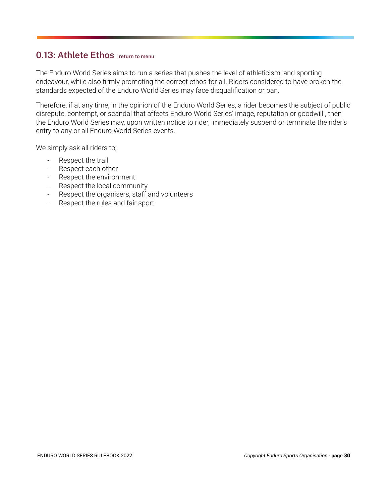#### <span id="page-29-0"></span> **0.13: Athlete Ethos [| return to menu](#page-1-0)**

 The Enduro World Series aims to run a series that pushes the level of athleticism, and sporting endeavour, while also firmly promoting the correct ethos for all. Riders considered to have broken the standards expected of the Enduro World Series may face disqualification or ban.

Therefore, if at any time, in the opinion of the Enduro World Series, a rider becomes the subject of public disrepute, contempt, or scandal that affects Enduro World Series ' image, reputation or goodwill , then the Enduro World Series may, upon written notice to rider, immediately suspend or terminate the rider's entry to any or all Enduro World Series events.

We simply ask all riders to:

- Respect the trail
- Respect each other
- Respect the environment
- Respect the local community
- Respect the organisers, staff and volunteers
- Respect the rules and fair sport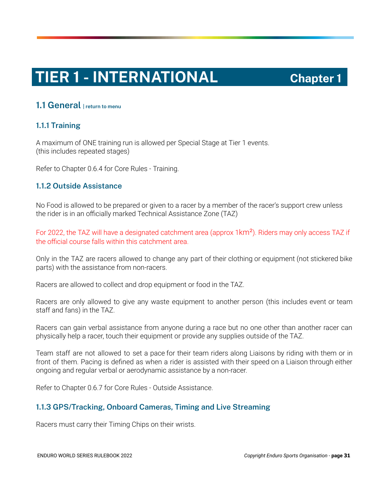# **TIER 1 - INTERNATIONAL Chapter 1**

#### <span id="page-30-0"></span> **1.1 General [| return to menu](#page-1-0)**

#### **1.1.1 Training**

 A maximum of ONE training run is allowed per Special Stage at Tier 1 events. (this includes repeated stages)

Refer to Chapter 0.6.4 for Core Rules - Training.

#### **1.1.2 Outside Assistance**

 No Food is allowed to be prepared or given to a racer by a member of the racer's support crew unless the rider is in an officially marked Technical Assistance Zone (TAZ)

For 2022, the TAZ will have a designated catchment area (approx 1 km<sup>2</sup>). Riders may only access TAZ if the official course falls within this catchment area.

 Only in the TAZ are racers allowed to change any part of their clothing or equipment (not stickered bike parts) with the assistance from non-racers.

Racers are allowed to collect and drop equipment or food in the TAZ.

 Racers are only allowed to give any waste equipment to another person (this includes event or team staff and fans) in the TAZ.

 Racers can gain verbal assistance from anyone during a race but no one other than another racer can physically help a racer, touch their equipment or provide any supplies outside of the TAZ.

 Team staff are not allowed to set a pace for their team riders along Liaisons by riding with them or in front of them. Pacing is defined as when a rider is assisted with their speed on a Liaison through either ongoing and regular verbal or aerodynamic assistance by a non-racer.

Refer to Chapter 0.6.7 for Core Rules - Outside Assistance.

#### **1.1.3 GPS/Tracking, Onboard Cameras, Timing and Live Streaming**

Racers must carry their Timing Chips on their wrists.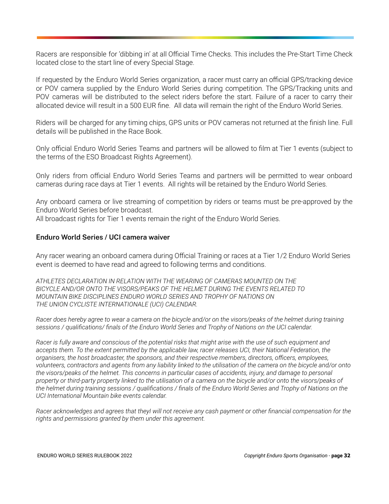Racers are responsible for 'dibbing in' at all Official Time Checks. This includes the Pre-Start Time Check located close to the start line of every Special Stage.

 If requested by the Enduro World Series organization, a racer must carry an official GPS/tracking device or POV camera supplied by the Enduro World Series during competition. The GPS/Tracking units and POV cameras will be distributed to the select riders before the start. Failure of a racer to carry their allocated device will result in a 500 EUR fine. All data will remain the right of the Enduro World Series.

 Riders will be charged for any timing chips, GPS units or POV cameras not returned at the finish line. Full details will be published in the Race Book.

 Only official Enduro World Series Teams and partners will be allowed to film at Tier 1 events (subject to the terms of the ESO Broadcast Rights Agreement).

 Only riders from official Enduro World Series Teams and partners will be permitted to wear onboard cameras during race days at Tier 1 events. All rights will be retained by the Enduro World Series.

 Any onboard camera or live streaming of competition by riders or teams must be pre-approved by the Enduro World Series before broadcast.

All broadcast rights for Tier 1 events remain the right of the Enduro World Series.

#### **Enduro World Series / UCI camera waiver**

 Any racer wearing an onboard camera during Official Training or races at a Tier 1/2 Enduro World Series event is deemed to have read and agreed to following terms and conditions.

 *ATHLETES DECLARATION IN RELATION WITH THE WEARING OF CAMERAS MOUNTED ON THE BICYCLE AND/OR ONTO THE VISORS/PEAKS OF THE HELMET DURING THE EVENTS RELATED TO MOUNTAIN BIKE DISCIPLINES ENDURO WORLD SERIES AND TROPHY OF NATIONS ON THE UNION CYCLISTE INTERNATIONALE (UCI) CALENDAR.* 

*Racer does hereby agree to wear a camera on the bicycle and/or on the visors/peaks of the helmet during training sessions / qualifications/ finals of the Enduro World Series and Trophy of Nations on the UCI calendar.* 

 *Racer is fully aware and conscious of the potential risks that might arise with the use of such equipment and accepts them. To the extent permitted by the applicable law, racer releases UCI, their National Federation, the organisers, the host broadcaster, the sponsors, and their respective members, directors, officers, employees, volunteers, contractors and agents from any liability linked to the utilisation of the camera on the bicycle and/or onto the visors/peaks of the helmet. This concerns in particular cases of accidents, injury, and damage to personal property or third-party property linked to the utilisation of a camera on the bicycle and/or onto the visors/peaks of the helmet during training sessions / qualifications / finals of the Enduro World Series and Trophy of Nations on the UCI International Mountain bike events calendar.* 

 *Racer acknowledges and agrees that theyI will not receive any cash payment or other financial compensation for the rights and permissions granted by them under this agreement.*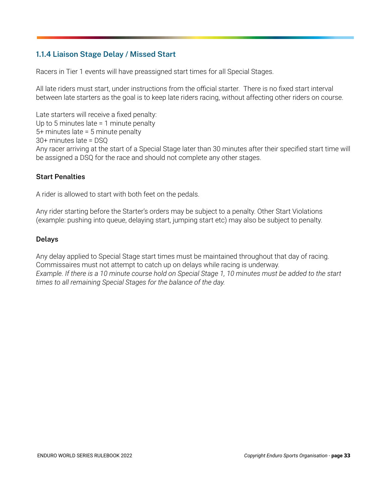#### **1.1.4 Liaison Stage Delay / Missed Start**

Racers in Tier 1 events will have preassigned start times for all Special Stages.

 All late riders must start, under instructions from the official starter. There is no fixed start interval between late starters as the goal is to keep late riders racing, without affecting other riders on course.

 Late starters will receive a fixed penalty: Up to 5 minutes late = 1 minute penalty 5+ minutes late = 5 minute penalty 30+ minutes late = DSQ Any racer arriving at the start of a Special Stage later than 30 minutes after their specified start time will be assigned a DSQ for the race and should not complete any other stages.

#### **Start Penalties**

A rider is allowed to start with both feet on the pedals.

 Any rider starting before the Starter's orders may be subject to a penalty. Other Start Violations (example: pushing into queue, delaying start, jumping start etc) may also be subject to penalty.

#### **Delays**

 Any delay applied to Special Stage start times must be maintained throughout that day of racing. Commissaires must not attempt to catch up on delays while racing is underway.  *Example. If there is a 10 minute course hold on Special Stage 1, 10 minutes must be added to the start times to all remaining Special Stages for the balance of the day.*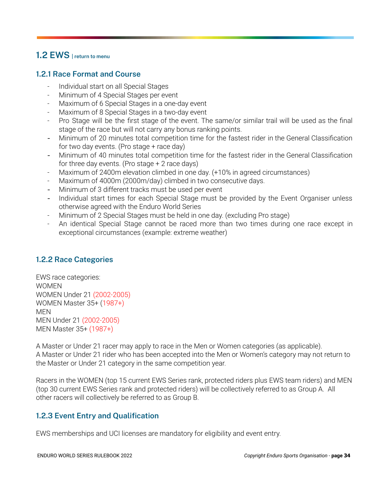#### <span id="page-33-0"></span> **1.2 EWS [| return to menu](#page-1-0)**

#### **1.2.1 Race Format and Course**

- Individual start on all Special Stages
- Minimum of 4 Special Stages per event
- Maximum of 6 Special Stages in a one-day event
- Maximum of 8 Special Stages in a two-day event
- Pro Stage will be the first stage of the event. The same/or similar trail will be used as the final stage of the race but will not carry any bonus ranking points.
- Minimum of 20 minutes total competition time for the fastest rider in the General Classification for two day events. (Pro stage + race day)
- Minimum of 40 minutes total competition time for the fastest rider in the General Classification for three day events. (Pro stage + 2 race days)
- Maximum of 2400m elevation climbed in one day. (+10% in agreed circumstances)
- Maximum of 4000m (2000m/day) climbed in two consecutive days.
- Minimum of 3 different tracks must be used per event
- Individual start times for each Special Stage must be provided by the Event Organiser unless otherwise agreed with the Enduro World Series
- Minimum of 2 Special Stages must be held in one day. (excluding Pro stage)
- An identical Special Stage cannot be raced more than two times during one race except in exceptional circumstances (example: extreme weather)

#### **1.2.2 Race Categories**

 EWS race categories: WOMEN WOMEN Under 21 (2002-2005) WOMEN Master 35+ (1987+) MEN MEN Under 21 (2002-2005) MEN Master 35+ (1987+)

 A Master or Under 21 racer may apply to race in the Men or Women categories (as applicable). A Master or Under 21 rider who has been accepted into the Men or Women's category may not return to the Master or Under 21 category in the same competition year.

 Racers in the WOMEN (top 15 current EWS Series rank, protected riders plus EWS team riders) and MEN (top 30 current EWS Series rank and protected riders) will be collectively referred to as Group A. All other racers will collectively be referred to as Group B.

#### **1.2.3 Event Entry and Qualification**

EWS memberships and UCI licenses are mandatory for eligibility and event entry.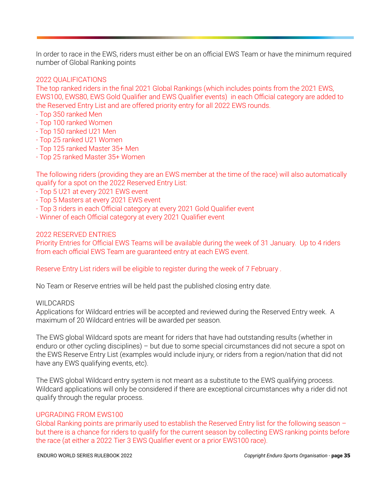In order to race in the EWS, riders must either be on an official EWS Team or have the minimum required number of Global Ranking points

#### 2022 QUALIFICATIONS

 The top ranked riders in the final 2021 Global Rankings (which includes points from the 2021 EWS, EWS100, EWS80, EWS Gold Qualifier and EWS Qualifier events) in each Official category are added to the Reserved Entry List and are offered priority entry for all 2022 EWS rounds.

- Top 350 ranked Men
- Top 100 ranked Women
- Top 150 ranked U21 Men
- Top 25 ranked U21 Women
- Top 125 ranked Master 35+ Men
- Top 25 ranked Master 35+ Women

 The following riders (providing they are an EWS member at the time of the race) will also automatically qualify for a spot on the 2022 Reserved Entry List:

- Top 5 U21 at every 2021 EWS event
- Top 5 Masters at every 2021 EWS event
- Top 3 riders in each Official category at every 2021 Gold Qualifier event
- Winner of each Official category at every 2021 Qualifier event

#### 2022 RESERVED ENTRIES

 Priority Entries for Official EWS Teams will be available during the week of 31 January. Up to 4 riders from each official EWS Team are guaranteed entry at each EWS event.

#### Reserve Entry List riders will be eligible to register during the week of 7 February .

No Team or Reserve entries will be held past the published closing entry date.

#### WILDCARDS

 Applications for Wildcard entries will be accepted and reviewed during the Reserved Entry week. A maximum of 20 Wildcard entries will be awarded per season.

 The EWS global Wildcard spots are meant for riders that have had outstanding results (whether in enduro or other cycling disciplines) – but due to some special circumstances did not secure a spot on the EWS Reserve Entry List (examples would include injury, or riders from a region/nation that did not have any EWS qualifying events, etc).

 The EWS global Wildcard entry system is not meant as a substitute to the EWS qualifying process. Wildcard applications will only be considered if there are exceptional circumstances why a rider did not qualify through the regular process.

#### UPGRADING FROM EWS100

 Global Ranking points are primarily used to establish the Reserved Entry list for the following season – but there is a chance for riders to qualify for the current season by collecting EWS ranking points before the race (at either a 2022 Tier 3 EWS Qualifier event or a prior EWS100 race).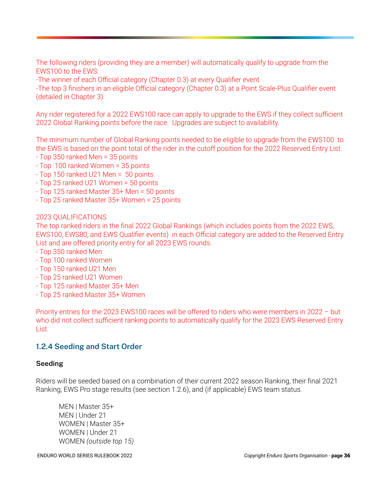The following riders (providing they are a member) will automatically qualify to upgrade from the EWS100 to the EWS:

-The winner of each Official category (Chapter 0.3) at every Qualifier event

 -The top 3 finishers in an eligible Official category (Chapter 0.3) at a Point Scale-Plus Qualifier event (detailed in Chapter 3)

 Any rider registered for a 2022 EWS100 race can apply to upgrade to the EWS if they collect sufficient 2022 Global Ranking points before the race. Upgrades are subject to availability.

 The minimum number of Global Ranking points needed to be eligible to upgrade from the EWS100 to the EWS is based on the point total of the rider in the cutoff position for the 2022 Reserved Entry List.

- Top 350 ranked Men = 35 points
- Top 100 ranked Women = 35 points
- Top 150 ranked U21 Men = 50 points
- Top 25 ranked U21 Women = 50 points
- Top 125 ranked Master 35+ Men = 50 points
- Top 25 ranked Master 35+ Women = 25 points

#### 2023 QUALIFICATIONS

 The top ranked riders in the final 2022 Global Rankings (which includes points from the 2022 EWS, EWS100, EWS80, and EWS Qualifier events) in each Official category are added to the Reserved Entry List and are offered priority entry for all 2023 EWS rounds.

- Top 350 ranked Men
- Top 100 ranked Women
- Top 150 ranked U21 Men
- Top 25 ranked U21 Women
- Top 125 ranked Master 35+ Men
- Top 25 ranked Master 35+ Women

 Priority entries for the 2023 EWS100 races will be offered to riders who were members in 2022 – but who did not collect sufficient ranking points to automatically qualify for the 2023 EWS Reserved Entry List.

#### **1.2.4 Seeding and Start Order**

#### **Seeding**

 Riders will be seeded based on a combination of their current 2022 season Ranking, their final 2021 Ranking, EWS Pro stage results (see section 1.2.6), and (if applicable) EWS team status.

 MEN | Master 35+ MEN | Under 21 WOMEN | Master 35+ WOMEN | Under 21 WOMEN *(outside top 15)*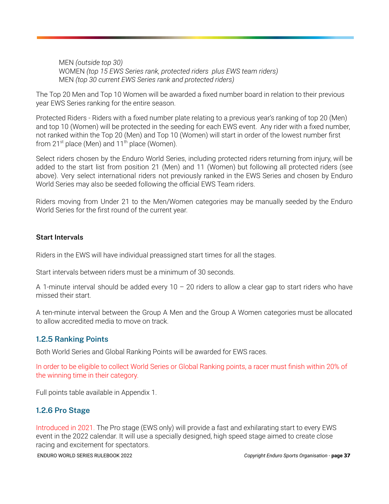MEN *(outside top 30)*  WOMEN *(top 15 EWS Series rank, protected riders plus EWS team riders)*  MEN *(top 30 current EWS Series rank and protected riders)* 

 The Top 20 Men and Top 10 Women will be awarded a fixed number board in relation to their previous year EWS Series ranking for the entire season.

 Protected Riders - Riders with a fixed number plate relating to a previous year's ranking of top 20 (Men) and top 10 (Women) will be protected in the seeding for each EWS event. Any rider with a fixed number, not ranked within the Top 20 (Men) and Top 10 (Women) will start in order of the lowest number first from  $21^{st}$  place (Men) and  $11^{th}$  place (Women).

 Select riders chosen by the Enduro World Series, including protected riders returning from injury, will be added to the start list from position 21 (Men) and 11 (Women) but following all protected riders (see above). Very select international riders not previously ranked in the EWS Series and chosen by Enduro World Series may also be seeded following the official EWS Team riders.

 Riders moving from Under 21 to the Men/Women categories may be manually seeded by the Enduro World Series for the first round of the current year.

#### **Start Intervals**

Riders in the EWS will have individual preassigned start times for all the stages.

Start intervals between riders must be a minimum of 30 seconds.

A 1-minute interval should be added every  $10 - 20$  riders to allow a clear gap to start riders who have missed their start.

 A ten-minute interval between the Group A Men and the Group A Women categories must be allocated to allow accredited media to move on track.

#### **1.2.5 Ranking Points**

Both World Series and Global Ranking Points will be awarded for EWS races.

 In order to be eligible to collect World Series or Global Ranking points, a racer must finish within 20% of the winning time in their category.

Full points table available in Appendix 1.

#### **1.2.6 Pro Stage**

 Introduced in 2021. The Pro stage (EWS only) will provide a fast and exhilarating start to every EWS event in the 2022 calendar. It will use a specially designed, high speed stage aimed to create close racing and excitement for spectators.

ENDURO WORLD SERIES RULEBOOK 2022 *Copyright Enduro Sports Organisation -* **page 37**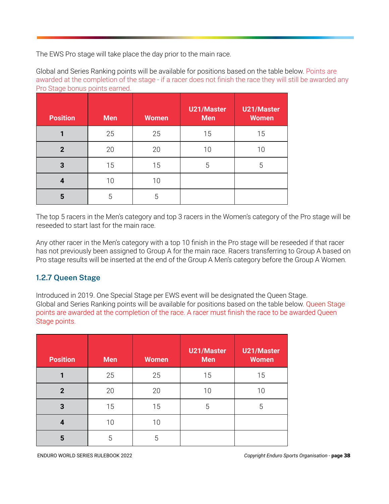The EWS Pro stage will take place the day prior to the main race.

 Global and Series Ranking points will be available for positions based on the table below. Points are awarded at the completion of the stage - if a racer does not finish the race they will still be awarded any Pro Stage bonus points earned.

| <b>Position</b> | <b>Men</b> | <b>Women</b> | <b>U21/Master</b><br><b>Men</b> | U21/Master<br><b>Women</b> |
|-----------------|------------|--------------|---------------------------------|----------------------------|
|                 | 25         | 25           | 15                              | 15                         |
| $\mathbf{2}$    | 20         | 20           | 10                              | 10                         |
| 3               | 15         | 15           | 5                               | 5                          |
| 4               | 10         | 10           |                                 |                            |
| 5               | 5          | 5            |                                 |                            |

 The top 5 racers in the Men's category and top 3 racers in the Women's category of the Pro stage will be reseeded to start last for the main race.

 Any other racer in the Men's category with a top 10 finish in the Pro stage will be reseeded if that racer has not previously been assigned to Group A for the main race. Racers transferring to Group A based on Pro stage results will be inserted at the end of the Group A Men's category before the Group A Women.

#### **1.2.7 Queen Stage**

 Introduced in 2019. One Special Stage per EWS event will be designated the Queen Stage. Global and Series Ranking points will be available for positions based on the table below. Queen Stage points are awarded at the completion of the race. A racer must finish the race to be awarded Queen Stage points.

| <b>Position</b> | <b>Men</b> | <b>Women</b> | <b>U21/Master</b><br><b>Men</b> | <b>U21/Master</b><br><b>Women</b> |
|-----------------|------------|--------------|---------------------------------|-----------------------------------|
|                 | 25         | 25           | 15                              | 15                                |
| $\mathbf{2}$    | 20         | 20           | 10                              | 10                                |
| 3               | 15         | 15           | 5                               | 5                                 |
| 4               | 10         | 10           |                                 |                                   |
| 5               | 5          | 5            |                                 |                                   |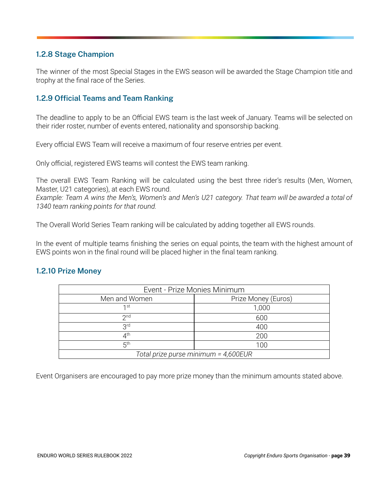#### **1.2.8 Stage Champion**

 The winner of the most Special Stages in the EWS season will be awarded the Stage Champion title and trophy at the final race of the Series.

#### **1.2.9 Official Teams and Team Ranking**

 The deadline to apply to be an Official EWS team is the last week of January. Teams will be selected on their rider roster, number of events entered, nationality and sponsorship backing.

Every official EWS Team will receive a maximum of four reserve entries per event.

Only official, registered EWS teams will contest the EWS team ranking.

 The overall EWS Team Ranking will be calculated using the best three rider's results (Men, Women, Master, U21 categories), at each EWS round.

 *Example: Team A wins the Men's, Women's and Men's U21 category. That team will be awarded a total of 1340 team ranking points for that round.* 

The Overall World Series Team ranking will be calculated by adding together all EWS rounds.

 In the event of multiple teams finishing the series on equal points, the team with the highest amount of EWS points won in the final round will be placed higher in the final team ranking.

#### **1.2.10 Prize Money**

| Event - Prize Monies Minimum         |                     |  |  |  |
|--------------------------------------|---------------------|--|--|--|
| Men and Women                        | Prize Money (Euros) |  |  |  |
| 1st                                  | 1,000               |  |  |  |
| 2 <sub>nd</sub>                      | 600                 |  |  |  |
| 3 <sup>rd</sup>                      | 400                 |  |  |  |
| $4^{\text{th}}$                      | 200                 |  |  |  |
| 5 <sup>th</sup><br>100               |                     |  |  |  |
| Total prize purse minimum = 4,600EUR |                     |  |  |  |

Event Organisers are encouraged to pay more prize money than the minimum amounts stated above.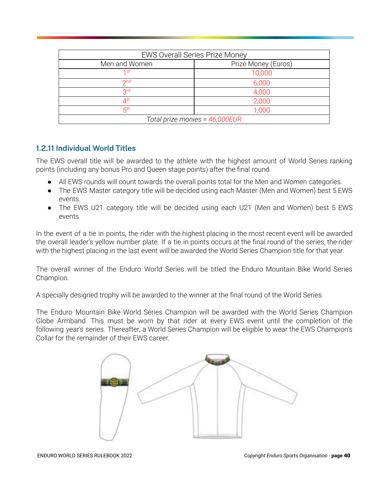| <b>EWS Overall Series Prize Money</b> |        |  |  |  |
|---------------------------------------|--------|--|--|--|
| Men and Women<br>Prize Money (Euros)  |        |  |  |  |
| 1st                                   | 10,000 |  |  |  |
| 2 <sub>nd</sub><br>6,000              |        |  |  |  |
| 3 <sup>rd</sup>                       | 4,000  |  |  |  |
| ∕∕lth<br>2,000                        |        |  |  |  |
| $5^{\text{th}}$<br>1,000              |        |  |  |  |
| Total prize monies = 46,000EUR        |        |  |  |  |

#### **1.2.11 Individual World Titles**

 The EWS overall title will be awarded to the athlete with the highest amount of World Series ranking points (including any bonus Pro and Queen stage points) after the final round.

- All EWS rounds will count towards the overall points total for the Men and Women categories.
- The EWS Master category title will be decided using each Master (Men and Women) best 5 EWS events.
- The EWS U21 category title will be decided using each U21 (Men and Women) best 5 EWS events

 In the event of a tie in points, the rider with the highest placing in the most recent event will be awarded the overall leader's yellow number plate. If a tie in points occurs at the final round of the series, the rider with the highest placing in the last event will be awarded the World Series Champion title for that year.

 The overall winner of the Enduro World Series will be titled the Enduro Mountain Bike World Series Champion.

A specially designed trophy will be awarded to the winner at the final round of the World Series.

 The Enduro Mountain Bike World Series Champion will be awarded with the World Series Champion Globe Armband. This must be worn by that rider at every EWS event until the completion of the following year's series. Thereafter, a World Series Champion will be eligible to wear the EWS Champion's Collar for the remainder of their EWS career.

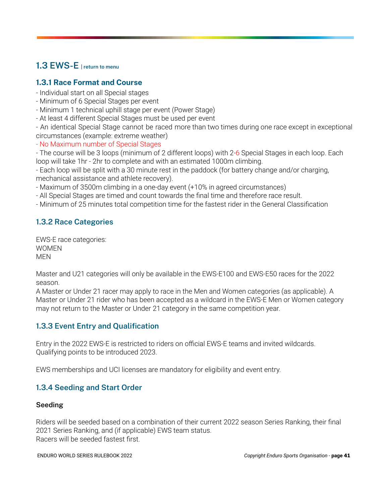### <span id="page-40-0"></span> **1.3 EWS-E [| return to menu](#page-1-0)**

### **1.3.1 Race Format and Course**

- Individual start on all Special stages
- Minimum of 6 Special Stages per event
- Minimum 1 technical uphill stage per event (Power Stage)
- At least 4 different Special Stages must be used per event

 - An identical Special Stage cannot be raced more than two times during one race except in exceptional circumstances (example: extreme weather)

- No Maximum number of Special Stages

 - The course will be 3 loops (minimum of 2 different loops) with 2-6 Special Stages in each loop. Each loop will take 1hr - 2hr to complete and with an estimated 1000m climbing.

 - Each loop will be split with a 30 minute rest in the paddock (for battery change and/or charging, mechanical assistance and athlete recovery).

- Maximum of 3500m climbing in a one-day event (+10% in agreed circumstances)
- All Special Stages are timed and count towards the final time and therefore race result.
- Minimum of 25 minutes total competition time for the fastest rider in the General Classification

### **1.3.2 Race Categories**

 EWS-E race categories: WOMEN MEN

 Master and U21 categories will only be available in the EWS-E100 and EWS-E50 races for the 2022 season.

 A Master or Under 21 racer may apply to race in the Men and Women categories (as applicable). A Master or Under 21 rider who has been accepted as a wildcard in the EWS-E Men or Women category may not return to the Master or Under 21 category in the same competition year.

#### **1.3.3 Event Entry and Qualification**

 Entry in the 2022 EWS-E is restricted to riders on official EWS-E teams and invited wildcards. Qualifying points to be introduced 2023.

EWS memberships and UCI licenses are mandatory for eligibility and event entry.

#### **1.3.4 Seeding and Start Order**

#### **Seeding**

 Riders will be seeded based on a combination of their current 2022 season Series Ranking, their final 2021 Series Ranking, and (if applicable) EWS team status. Racers will be seeded fastest first.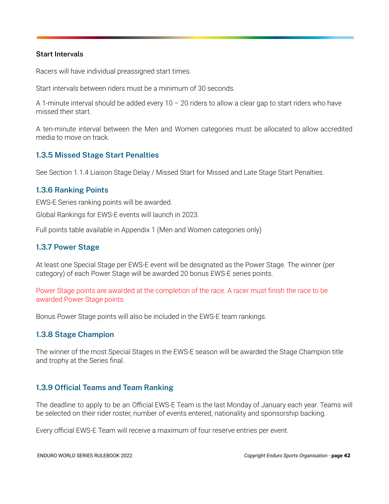#### **Start Intervals**

Racers will have individual preassigned start times.

Start intervals between riders must be a minimum of 30 seconds.

A 1-minute interval should be added every  $10 - 20$  riders to allow a clear gap to start riders who have missed their start.

 A ten-minute interval between the Men and Women categories must be allocated to allow accredited media to move on track.

#### **1.3.5 Missed Stage Start Penalties**

See Section 1.1.4 Liaison Stage Delay / Missed Start for Missed and Late Stage Start Penalties.

#### **1.3.6 Ranking Points**

EWS-E Series ranking points will be awarded.

Global Rankings for EWS-E events will launch in 2023.

Full points table available in Appendix 1 (Men and Women categories only)

#### **1.3.7 Power Stage**

 At least one Special Stage per EWS-E event will be designated as the Power Stage. The winner (per category) of each Power Stage will be awarded 20 bonus EWS-E series points.

 Power Stage points are awarded at the completion of the race. A racer must finish the race to be awarded Power Stage points.

Bonus Power Stage points will also be included in the EWS-E team rankings.

#### **1.3.8 Stage Champion**

 The winner of the most Special Stages in the EWS-E season will be awarded the Stage Champion title and trophy at the Series final.

#### **1.3.9 Official Teams and Team Ranking**

 The deadline to apply to be an Official EWS-E Team is the last Monday of January each year. Teams will be selected on their rider roster, number of events entered, nationality and sponsorship backing.

Every official EWS-E Team will receive a maximum of four reserve entries per event.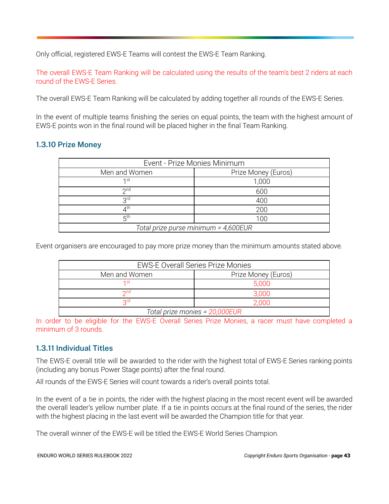Only official, registered EWS-E Teams will contest the EWS-E Team Ranking.

 The overall EWS-E Team Ranking will be calculated using the results of the team's best 2 riders at each round of the EWS-E Series.

The overall EWS-E Team Ranking will be calculated by adding together all rounds of the EWS-E Series.

 In the event of multiple teams finishing the series on equal points, the team with the highest amount of EWS-E points won in the final round will be placed higher in the final Team Ranking.

#### **1.3.10 Prize Money**

| Event - Prize Monies Minimum         |                     |  |  |  |
|--------------------------------------|---------------------|--|--|--|
| Men and Women                        | Prize Money (Euros) |  |  |  |
| 1st                                  | 1,000               |  |  |  |
| 2 <sub>nd</sub>                      | 600                 |  |  |  |
| <b>Qrd</b>                           | 400                 |  |  |  |
| $4^\mathsf{th}$                      | 200                 |  |  |  |
| 5 <sup>th</sup><br>100               |                     |  |  |  |
| Total prize purse minimum = 4,600EUR |                     |  |  |  |

Event organisers are encouraged to pay more prize money than the minimum amounts stated above.

| <b>EWS-E Overall Series Prize Monies</b> |       |  |  |  |
|------------------------------------------|-------|--|--|--|
| Prize Money (Euros)<br>Men and Women     |       |  |  |  |
| 1 st                                     | 5,000 |  |  |  |
| 2nd                                      | 3.000 |  |  |  |
| Qrd<br>2.000                             |       |  |  |  |
| Total prize monies = 20,000EUR           |       |  |  |  |

 In order to be eligible for the EWS-E Overall Series Prize Monies, a racer must have completed a minimum of 3 rounds.

#### **1.3.11 Individual Titles**

 The EWS-E overall title will be awarded to the rider with the highest total of EWS-E Series ranking points (including any bonus Power Stage points) after the final round.

All rounds of the EWS-E Series will count towards a rider's overall points total.

 In the event of a tie in points, the rider with the highest placing in the most recent event will be awarded the overall leader's yellow number plate. If a tie in points occurs at the final round of the series, the rider with the highest placing in the last event will be awarded the Champion title for that year.

The overall winner of the EWS-E will be titled the EWS-E World Series Champion.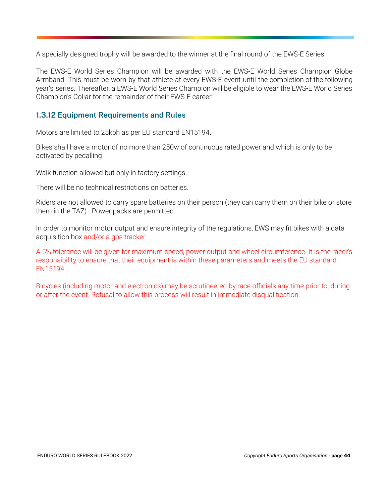A specially designed trophy will be awarded to the winner at the final round of the EWS-E Series.

 The EWS-E World Series Champion will be awarded with the EWS-E World Series Champion Globe Armband. This must be worn by that athlete at every EWS-E event until the completion of the following year's series. Thereafter, a EWS-E World Series Champion will be eligible to wear the EWS-E World Series Champion's Collar for the remainder of their EWS-E career.

#### **1.3.12 Equipment Requirements and Rules**

Motors are limited to 25kph as per EU standard EN15194 **.** 

 Bikes shall have a motor of no more than 250w of continuous rated power and which is only to be activated by pedalling

Walk function allowed but only in factory settings.

There will be no technical restrictions on batteries.

 Riders are not allowed to carry spare batteries on their person (they can carry them on their bike or store them in the TAZ) . Power packs are permitted.

 In order to monitor motor output and ensure integrity of the regulations, EWS may fit bikes with a data acquisition box and/or a gps tracker.

 A 5% tolerance will be given for maximum speed, power output and wheel circumference. It is the racer's responsibility to ensure that their equipment is within these parameters and meets the EU standard EN15194

 Bicycles (including motor and electronics) may be scrutineered by race officials any time prior to, during or after the event. Refusal to allow this process will result in immediate disqualification.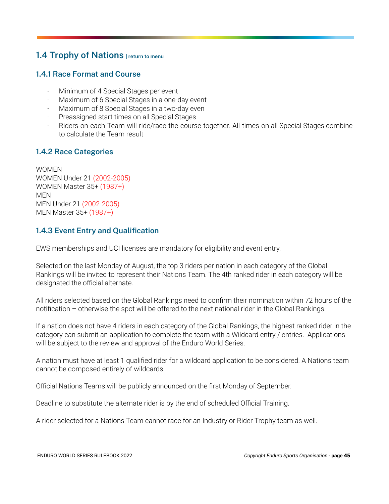### <span id="page-44-0"></span> **1.4 Trophy of Nations [| return to menu](#page-1-0)**

#### **1.4.1 Race Format and Course**

- Minimum of 4 Special Stages per event
- Maximum of 6 Special Stages in a one-day event
- Maximum of 8 Special Stages in a two-day even
- Preassigned start times on all Special Stages
- Riders on each Team will ride/race the course together. All times on all Special Stages combine to calculate the Team result

#### **1.4.2 Race Categories**

 WOMEN WOMEN Under 21 (2002-2005) WOMEN Master 35+ (1987+) MEN MEN Under 21 (2002-2005) MEN Master 35+ (1987+)

#### **1.4.3 Event Entry and Qualification**

EWS memberships and UCI licenses are mandatory for eligibility and event entry.

 Selected on the last Monday of August, the top 3 riders per nation in each category of the Global Rankings will be invited to represent their Nations Team. The 4th ranked rider in each category will be designated the official alternate.

 All riders selected based on the Global Rankings need to confirm their nomination within 72 hours of the notification – otherwise the spot will be offered to the next national rider in the Global Rankings.

 If a nation does not have 4 riders in each category of the Global Rankings, the highest ranked rider in the category can submit an application to complete the team with a Wildcard entry / entries. Applications will be subject to the review and approval of the Enduro World Series.

 A nation must have at least 1 qualified rider for a wildcard application to be considered. A Nations team cannot be composed entirely of wildcards.

Official Nations Teams will be publicly announced on the first Monday of September.

Deadline to substitute the alternate rider is by the end of scheduled Official Training.

A rider selected for a Nations Team cannot race for an Industry or Rider Trophy team as well.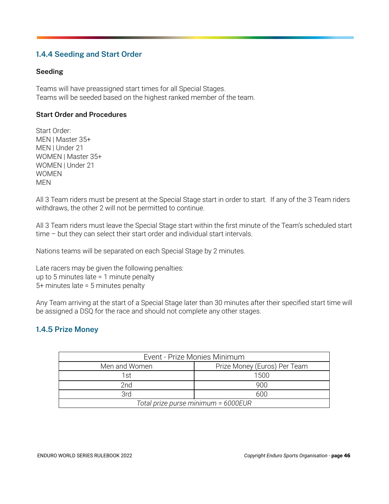#### **1.4.4 Seeding and Start Order**

#### **Seeding**

 Teams will have preassigned start times for all Special Stages. Teams will be seeded based on the highest ranked member of the team.

#### **Start Order and Procedures**

 Start Order: MEN | Master 35+ MEN | Under 21 WOMEN | Master 35+ WOMEN | Under 21 WOMEN MEN

 All 3 Team riders must be present at the Special Stage start in order to start. If any of the 3 Team riders withdraws, the other 2 will not be permitted to continue.

 All 3 Team riders must leave the Special Stage start within the first minute of the Team's scheduled start time – but they can select their start order and individual start intervals.

Nations teams will be separated on each Special Stage by 2 minutes.

 Late racers may be given the following penalties: up to 5 minutes late = 1 minute penalty 5+ minutes late = 5 minutes penalty

 Any Team arriving at the start of a Special Stage later than 30 minutes after their specified start time will be assigned a DSQ for the race and should not complete any other stages.

#### **1.4.5 Prize Money**

| Event - Prize Monies Minimum        |                              |  |  |  |
|-------------------------------------|------------------------------|--|--|--|
| Men and Women                       | Prize Money (Euros) Per Team |  |  |  |
| 1st                                 | 1500                         |  |  |  |
| 2nd                                 | 900                          |  |  |  |
| 3rd                                 | 600                          |  |  |  |
| Total prize purse minimum = 6000EUR |                              |  |  |  |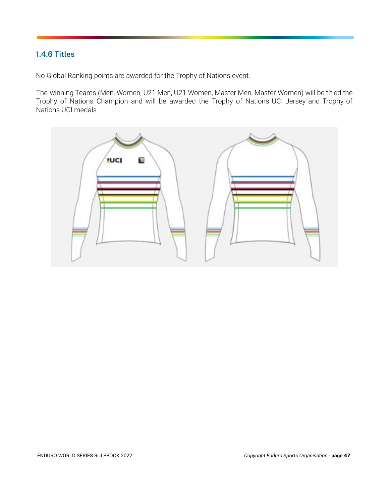#### **1.4.6 Titles**

No Global Ranking points are awarded for the Trophy of Nations event.

 The winning Teams (Men, Women, U21 Men, U21 Women, Master Men, Master Women) will be titled the Trophy of Nations Champion and will be awarded the Trophy of Nations UCI Jersey and Trophy of Nations UCI medals

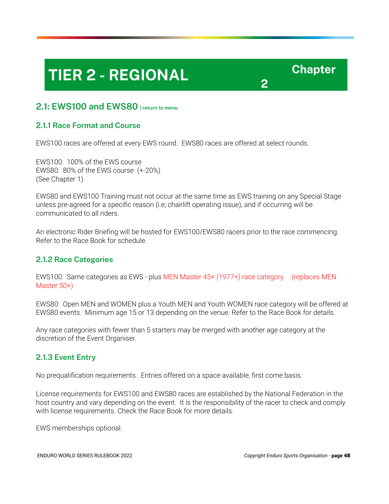# **TIER 2 - REGIONAL Chapter**

 **2** 

#### <span id="page-47-0"></span> **2.1: EWS100 and EWS80 [| return to menu](#page-1-0)**

#### **2.1.1 Race Format and Course**

EWS100 races are offered at every EWS round. EWS80 races are offered at select rounds.

 EWS100: 100% of the EWS course EWS80: 80% of the EWS course (+-20%) (See Chapter 1)

 EWS80 and EWS100 Training must not occur at the same time as EWS training on any Special Stage unless pre-agreed for a specific reason (i.e; chairlift operating issue), and if occurring will be communicated to all riders.

 An electronic Rider Briefing will be hosted for EWS100/EWS80 racers prior to the race commencing. Refer to the Race Book for schedule.

#### **2.1.2 Race Categories**

 EWS100: Same categories as EWS - plus MEN Master 45+ (1977+) race category. (replaces MEN Master 50+)

 EWS80: Open MEN and WOMEN plus a Youth MEN and Youth WOMEN race category will be offered at EWS80 events. Minimum age 15 or 13 depending on the venue. Refer to the Race Book for details.

 Any race categories with fewer than 5 starters may be merged with another age category at the discretion of the Event Organiser.

#### **2.1.3 Event Entry**

No prequalification requirements . Entries offered on a space available, first come basis.

 License requirements for EWS100 and EWS80 races are established by the National Federation in the host country and vary depending on the event. It is the responsibility of the racer to check and comply with license requirements. Check the Race Book for more details.

EWS memberships optional.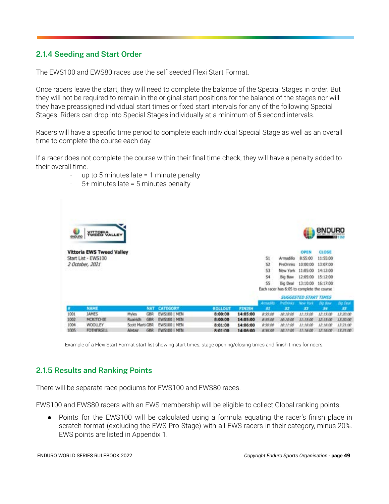#### **2.1.4 Seeding and Start Order**

The EWS100 and EWS80 races use the self seeded Flexi Start Format.

 Once racers leave the start, they will need to complete the balance of the Special Stages in order. But they will not be required to remain in the original start positions for the balance of the stages nor will they have preassigned individual start times or fixed start intervals for any of the following Special Stages. Riders can drop into Special Stages individually at a minimum of 5 second intervals.

 Racers will have a specific time period to complete each individual Special Stage as well as an overall time to complete the course each day.

 If a racer does not complete the course within their final time check, they will have a penalty added to their overall time.

- up to 5 minutes late  $= 1$  minute penalty
- $5+$  minutes late = 5 minutes penalty



Example of a Flexi Start Format start list showing start times, stage opening/closing times and finish times for riders.

#### **2.1.5 Results and Ranking Points**

There will be separate race podiums for EWS100 and EWS80 races.

EWS100 and EWS80 racers with an EWS membership will be eligible to collect Global ranking points.

• Points for the EWS100 will be calculated using a formula equating the racer's finish place in scratch format (excluding the EWS Pro Stage) with all EWS racers in their category, minus 20%. EWS points are listed in Appendix 1.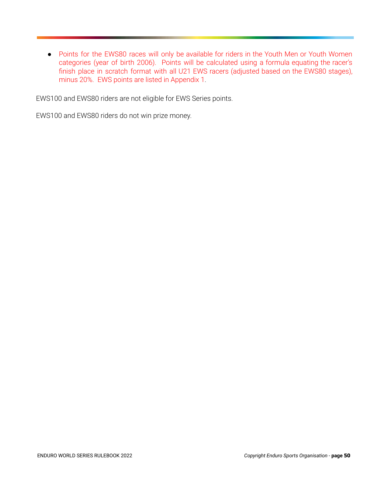● Points for the EWS80 races will only be available for riders in the Youth Men or Youth Women categories (year of birth 2006). Points will be calculated using a formula equating the racer's finish place in scratch format with all U21 EWS racers (adjusted based on the EWS80 stages), minus 20%. EWS points are listed in Appendix 1.

EWS100 and EWS80 riders are not eligible for EWS Series points.

EWS100 and EWS80 riders do not win prize money.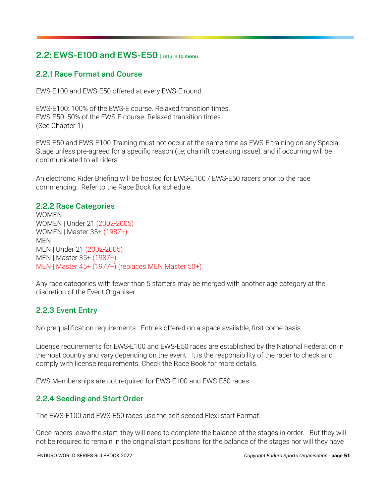### <span id="page-50-0"></span> **2.2: EWS-E100 and EWS-E50 [| return to menu](#page-1-0)**

#### **2.2.1 Race Format and Course**

EWS-E100 and EWS-E50 offered at every EWS-E round.

 EWS-E100: 100% of the EWS-E course. Relaxed transition times. EWS-E50: 50% of the EWS-E course. Relaxed transition times. (See Chapter 1)

 EWS-E50 and EWS-E100 Training must not occur at the same time as EWS-E training on any Special Stage unless pre-agreed for a specific reason (i.e; chairlift operating issue), and if occurring will be communicated to all riders.

 An electronic Rider Briefing will be hosted for EWS-E100 / EWS-E50 racers prior to the race commencing. Refer to the Race Book for schedule.

#### **2.2.2 Race Categories**

**WOMEN**  WOMEN | Under 21 (2002-2005) WOMEN | Master 35+ (1987+) **MFN**  MEN | Under 21 (2002-2005) MEN | Master 35+ (1987+) MEN | Master 45+ (1977+) (replaces MEN Master 50+)

 Any race categories with fewer than 5 starters may be merged with another age category at the discretion of the Event Organiser.

#### **2.2.3 Event Entry**

No prequalification requirements . Entries offered on a space available, first come basis.

 License requirements for EWS-E100 and EWS-E50 races are established by the National Federation in the host country and vary depending on the event. It is the responsibility of the racer to check and comply with license requirements. Check the Race Book for more details.

EWS Memberships are not required for EWS-E100 and EWS-E50 races.

#### **2.2.4 Seeding and Start Order**

The EWS-E100 and EWS-E50 races use the self seeded Flexi start Format.

 Once racers leave the start, they will need to complete the balance of the stages in order. But they will not be required to remain in the original start positions for the balance of the stages nor will they have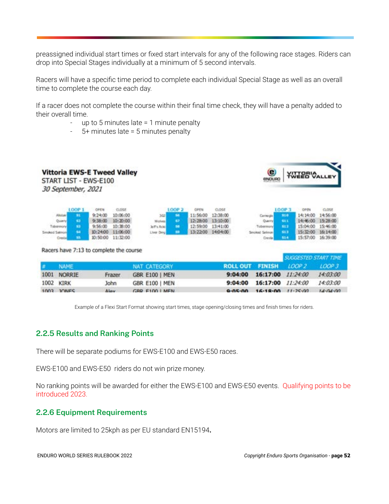preassigned individual start times or fixed start intervals for any of the following race stages. Riders can drop into Special Stages individually at a minimum of 5 second intervals.

 Racers will have a specific time period to complete each individual Special Stage as well as an overall time to complete the course each day.

 If a racer does not complete the course within their final time check, they will have a penalty added to their overall time.

- up to 5 minutes late = 1 minute penalty
- 5+ minutes late = 5 minutes penalty



| $#$ NAME    |        | NAT CATEGORY          | ROLL OUT FINISH LOOP 2 LOOP 3 |                           |                                    |                |
|-------------|--------|-----------------------|-------------------------------|---------------------------|------------------------------------|----------------|
| 1001 NORRIE | Frazer | GBR E100   MEN        |                               |                           | 9:04:00 16:17:00 11:24:00 14:03:00 |                |
| 1002 KIRK   | John   | <b>GBR E100   MEN</b> |                               |                           | 9:04:00 16:17:00 11:24:00 14:03:00 |                |
| 1003 IONES  | Alov   | CRP F100   MEN        |                               | 9-05-00 16-18-00 11-25-00 |                                    | $14 - 04 - 00$ |

Example of a Flexi Start Format showing start times, stage opening/closing times and finish times for riders.

#### **2.2.5 Results and Ranking Points**

There will be separate podiums for EWS-E100 and EWS-E50 races.

EWS-E100 and EWS-E50 riders do not win prize money.

 No ranking points will be awarded for either the EWS-E100 and EWS-E50 events. Qualifying points to be introduced 2023.

#### **2.2.6 Equipment Requirements**

Motors are limited to 25kph as per EU standard EN15194 **.**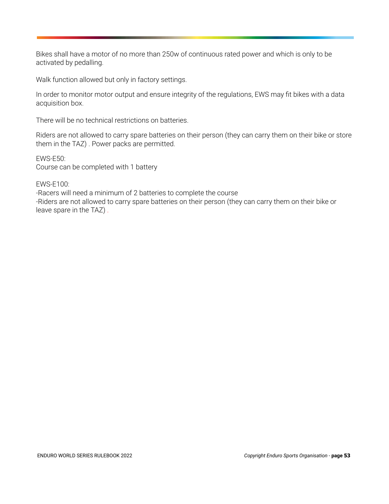Bikes shall have a motor of no more than 250w of continuous rated power and which is only to be activated by pedalling.

Walk function allowed but only in factory settings.

 In order to monitor motor output and ensure integrity of the regulations, EWS may fit bikes with a data acquisition box.

There will be no technical restrictions on batteries.

 Riders are not allowed to carry spare batteries on their person (they can carry them on their bike or store them in the TAZ) . Power packs are permitted.

 EWS-E50: Course can be completed with 1 battery

EWS-E100:

 -Racers will need a minimum of 2 batteries to complete the course -Riders are not allowed to carry spare batteries on their person (they can carry them on their bike or leave spare in the TAZ) .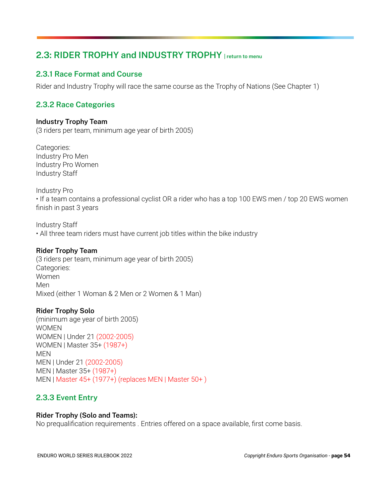### <span id="page-53-0"></span> **2.3: RIDER TROPHY and INDUSTRY TROPHY [| return to menu](#page-1-0)**

#### **2.3.1 Race Format and Course**

Rider and Industry Trophy will race the same course as the Trophy of Nations (See Chapter 1)

#### **2.3.2 Race Categories**

#### **Industry Trophy Team**

(3 riders per team, minimum age year of birth 2005)

 Categories: Industry Pro Men Industry Pro Women Industry Staff

Industry Pro

 • If a team contains a professional cyclist OR a rider who has a top 100 EWS men / top 20 EWS women finish in past 3 years

 Industry Staff • All three team riders must have current job titles within the bike industry

#### **Rider Trophy Team**

 (3 riders per team, minimum age year of birth 2005) Categories: Women Men Mixed (either 1 Woman & 2 Men or 2 Women & 1 Man)

#### **Rider Trophy Solo**

 (minimum age year of birth 2005) WOMEN WOMEN | Under 21 (2002-2005) WOMEN | Master 35+ (1987+) MEN MEN | Under 21 (2002-2005) MEN | Master 35+ (1987+) MEN | Master 45+ (1977+) (replaces MEN | Master 50+ )

#### **2.3.3 Event Entry**

#### **Rider Trophy (Solo and Teams):**

No prequalification requirements . Entries offered on a space available, first come basis.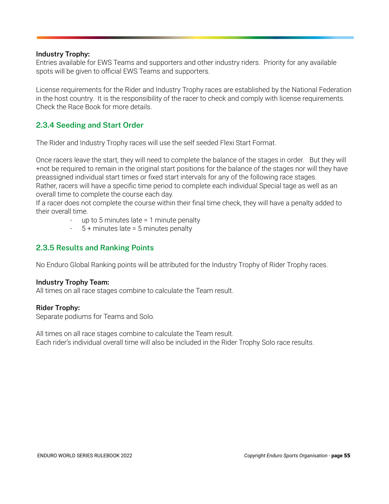#### **Industry Trophy:**

 Entries available for EWS Teams and supporters and other industry riders. Priority for any available spots will be given to official EWS Teams and supporters.

 License requirements for the Rider and Industry Trophy races are established by the National Federation in the host country. It is the responsibility of the racer to check and comply with license requirements. Check the Race Book for more details.

#### **2.3.4 Seeding and Start Order**

The Rider and Industry Trophy races will use the self seeded Flexi Start Format.

 Once racers leave the start, they will need to complete the balance of the stages in order. But they will +not be required to remain in the original start positions for the balance of the stages nor will they have preassigned individual start times or fixed start intervals for any of the following race stages. Rather, racers will have a specific time period to complete each individual Special tage as well as an overall time to complete the course each day.

 If a racer does not complete the course within their final time check, they will have a penalty added to their overall time.

- up to 5 minutes late = 1 minute penalty
- $5 +$  minutes late = 5 minutes penalty

#### **2.3.5 Results and Ranking Points**

No Enduro Global Ranking points will be attributed for the Industry Trophy of Rider Trophy races.

#### **Industry Trophy Team:**

All times on all race stages combine to calculate the Team result.

#### **Rider Trophy:**

Separate podiums for Teams and Solo.

 All times on all race stages combine to calculate the Team result. Each rider's individual overall time will also be included in the Rider Trophy Solo race results.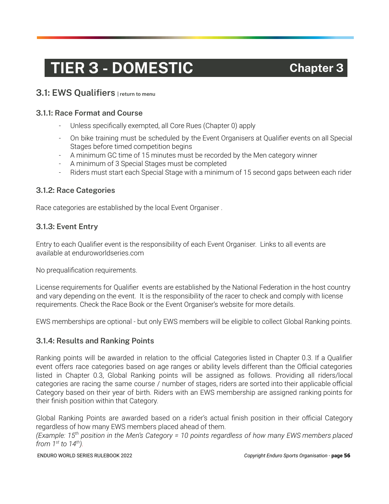# **TIER 3 - DOMESTIC Chapter 3**

#### <span id="page-55-0"></span> **3.1: EWS Qualifiers [| return to menu](#page-1-0)**

#### **3.1.1: Race Format and Course**

- Unless specifically exempted, all Core Rues (Chapter 0) apply
- On bike training must be scheduled by the Event Organisers at Qualifier events on all Special Stages before timed competition begins
- A minimum GC time of 15 minutes must be recorded by the Men category winner
- A minimum of 3 Special Stages must be completed
- Riders must start each Special Stage with a minimum of 15 second gaps between each rider

#### **3.1.2: Race Categories**

Race categories are established by the local Event Organiser .

#### **3.1.3: Event Entry**

 Entry to each Qualifier event is the responsibility of each Event Organiser. Links to all events are available at enduroworldseries.com

No prequalification requirements.

 License requirements for Qualifier events are established by the National Federation in the host country and vary depending on the event. It is the responsibility of the racer to check and comply with license requirements. Check the Race Book or the Event Organiser's website for more details.

EWS memberships are optional - but only EWS members will be eligible to collect Global Ranking points.

#### **3.1.4: Results and Ranking Points**

 Ranking points will be awarded in relation to the official Categories listed in Chapter 0.3. If a Qualifier event offers race categories based on age ranges or ability levels different than the Official categories listed in Chapter 0.3, Global Ranking points will be assigned as follows. Providing all riders/local categories are racing the same course / number of stages, riders are sorted into their applicable official Category based on their year of birth. Riders with an EWS membership are assigned ranking points for their finish position within that Category.

 Global Ranking Points are awarded based on a rider's actual finish position in their official Category regardless of how many EWS members placed ahead of them.

 *(Example: 15 th position in the Men's Category = 10 points regardless of how many EWS members placed from 1 st to 14 th ).*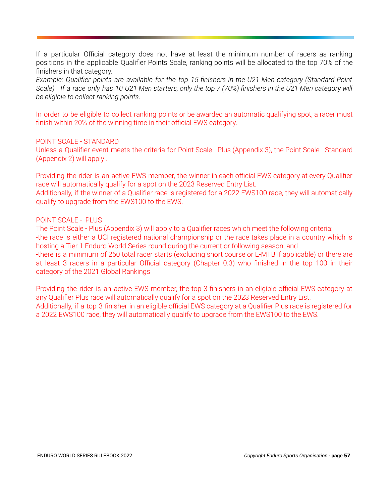If a particular Official category does not have at least the minimum number of racers as ranking positions in the applicable Qualifier Points Scale, ranking points will be allocated to the top 70% of the finishers in that category.

 *Example: Qualifier points are available for the top 15 finishers in the U21 Men category (Standard Point Scale). If a race only has 10 U21 Men starters, only the top 7 (70%) finishers in the U21 Men category will be eligible to collect ranking points.* 

 In order to be eligible to collect ranking points or be awarded an automatic qualifying spot, a racer must finish within 20% of the winning time in their official EWS category.

#### POINT SCALE - STANDARD

 Unless a Qualifier event meets the criteria for Point Scale - Plus (Appendix 3), the Point Scale - Standard (Appendix 2) will apply .

 Providing the rider is an active EWS member, the winner in each official EWS category at every Qualifier race will automatically qualify for a spot on the 2023 Reserved Entry List.

 Additionally, if the winner of a Qualifier race is registered for a 2022 EWS100 race, they will automatically qualify to upgrade from the EWS100 to the EWS.

#### POINT SCALE - PLUS

 The Point Scale - Plus (Appendix 3) will apply to a Qualifier races which meet the following criteria: -the race is either a UCI registered national championship or the race takes place in a country which is hosting a Tier 1 Enduro World Series round during the current or following season; and -there is a minimum of 250 total racer starts (excluding short course or E-MTB if applicable) or there are at least 3 racers in a particular Official category (Chapter 0.3) who finished in the top 100 in their category of the 2021 Global Rankings

 Providing the rider is an active EWS member, the top 3 finishers in an eligible official EWS category at any Qualifier Plus race will automatically qualify for a spot on the 2023 Reserved Entry List. Additionally, if a top 3 finisher in an eligible official EWS category at a Qualifier Plus race is registered for a 2022 EWS100 race, they will automatically qualify to upgrade from the EWS100 to the EWS.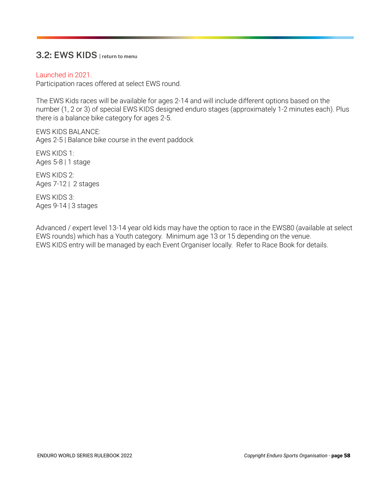#### <span id="page-57-0"></span> **3.2: EWS KIDS [| return to menu](#page-1-0)**

#### Launched in 2021.

Participation races offered at select EWS round.

 The EWS Kids races will be available for ages 2-14 and will include different options based on the number (1, 2 or 3) of special EWS KIDS designed enduro stages (approximately 1-2 minutes each). Plus there is a balance bike category for ages 2-5.

 EWS KIDS BALANCE: Ages 2-5 | Balance bike course in the event paddock

 EWS KIDS 1: Ages 5-8 | 1 stage

 EWS KIDS 2: Ages 7-12 | 2 stages

 EWS KIDS 3: Ages 9-14 | 3 stages

 Advanced / expert level 13-14 year old kids may have the option to race in the EWS80 (available at select EWS rounds) which has a Youth category. Minimum age 13 or 15 depending on the venue. EWS KIDS entry will be managed by each Event Organiser locally. Refer to Race Book for details.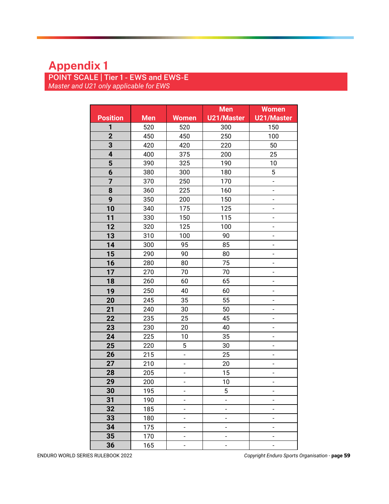# **Appendix 1**

 **POINT SCALE | Tier 1 - EWS and EWS-E**   *Master and U21 only applicable for EWS* 

|                 |            |                          | <b>Men</b>               | <b>Women</b>             |
|-----------------|------------|--------------------------|--------------------------|--------------------------|
| <b>Position</b> | <b>Men</b> | <b>Women</b>             | <b>U21/Master</b>        | <b>U21/Master</b>        |
| 1               | 520        | 520                      | 300                      | 150                      |
| $\overline{2}$  | 450        | 450                      | 250                      | 100                      |
| 3               | 420        | 420                      | 220                      | 50                       |
| 4               | 400        | 375                      | 200                      | 25                       |
| 5               | 390        | 325                      | 190                      | 10                       |
| 6               | 380        | 300                      | 180                      | 5                        |
| 7               | 370        | 250                      | 170                      | ÷,                       |
| 8               | 360        | 225                      | 160                      | -                        |
| 9               | 350        | 200                      | 150                      | -                        |
| 10              | 340        | 175                      | 125                      | $\overline{\phantom{0}}$ |
| 11              | 330        | 150                      | 115                      | $\overline{\phantom{a}}$ |
| 12              | 320        | 125                      | 100                      | -                        |
| 13              | 310        | 100                      | 90                       | $\overline{\phantom{a}}$ |
| 14              | 300        | 95                       | 85                       |                          |
| 15              | 290        | 90                       | 80                       | -                        |
| 16              | 280        | 80                       | 75                       | -                        |
| 17              | 270        | 70                       | 70                       | -                        |
| 18              | 260        | 60                       | 65                       | $\overline{\phantom{0}}$ |
| 19              | 250        | 40                       | 60                       | -                        |
| 20              | 245        | 35                       | 55                       | -                        |
| 21              | 240        | 30                       | 50                       | $\overline{\phantom{0}}$ |
| 22              | 235        | 25                       | 45                       | -                        |
| 23              | 230        | 20                       | 40                       | $\overline{\phantom{a}}$ |
| 24              | 225        | 10                       | 35                       |                          |
| 25              | 220        | $\mathbf 5$              | 30                       | -                        |
| 26              | 215        | $\overline{\phantom{0}}$ | 25                       | -                        |
| 27              | 210        | -                        | 20                       | -                        |
| 28              | 205        | $\overline{\phantom{a}}$ | 15                       | $\overline{\phantom{0}}$ |
| 29              | 200        | $\overline{a}$           | 10                       | $\overline{\phantom{0}}$ |
| 30              | 195        | -                        | 5                        |                          |
| 31              | 190        | $\overline{\phantom{a}}$ | $\overline{a}$           | -                        |
| 32              | 185        | -                        | $\overline{\phantom{a}}$ |                          |
| 33              | 180        | -                        | $\overline{\phantom{a}}$ | -                        |
| 34              | 175        | -                        | -                        | -                        |
| 35              | 170        | -                        | $\overline{\phantom{a}}$ | $\overline{\phantom{0}}$ |
| 36              | 165        | $\overline{\phantom{0}}$ | $\overline{\phantom{a}}$ | -                        |

ENDURO WORLD SERIES RULEBOOK 2022 *Copyright Enduro Sports Organisation -* **page 59**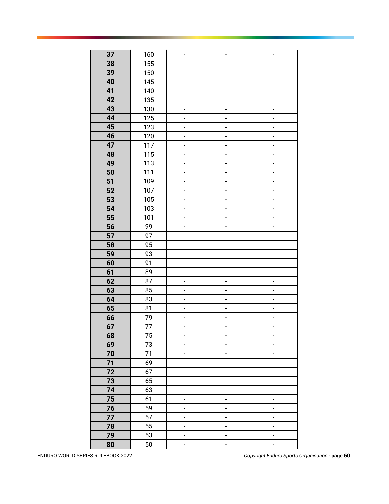| 37 | 160 | $\overline{\phantom{0}}$ | $\overline{\phantom{m}}$     | $\overline{\phantom{0}}$ |
|----|-----|--------------------------|------------------------------|--------------------------|
| 38 | 155 | $\qquad \qquad -$        | $\overline{a}$               | -                        |
| 39 | 150 | ÷,                       | $\overline{a}$               | $\overline{\phantom{a}}$ |
| 40 | 145 | $\overline{\phantom{a}}$ | $\overline{\phantom{0}}$     | $\overline{\phantom{0}}$ |
| 41 | 140 | $\overline{\phantom{a}}$ | $\overline{\phantom{m}}$     | $\overline{\phantom{a}}$ |
| 42 | 135 | -                        | -                            | -                        |
| 43 | 130 | $\overline{\phantom{a}}$ | $\overline{\phantom{0}}$     | $\overline{\phantom{a}}$ |
| 44 | 125 | $\overline{\phantom{a}}$ | -                            | -                        |
| 45 | 123 | ÷,                       | $\overline{a}$               | $\overline{a}$           |
| 46 | 120 | $\overline{\phantom{0}}$ | $\overline{\phantom{0}}$     | $\qquad \qquad -$        |
| 47 | 117 | ÷,                       | $\overline{a}$               | $\overline{\phantom{a}}$ |
| 48 | 115 | $\overline{\phantom{a}}$ | $\overline{\phantom{m}}$     | $\overline{\phantom{a}}$ |
| 49 | 113 | $\overline{a}$           | $\qquad \qquad \blacksquare$ | $\overline{a}$           |
| 50 | 111 | -                        | -                            | -                        |
| 51 | 109 | $\overline{\phantom{a}}$ | $\overline{a}$               | $\overline{\phantom{a}}$ |
| 52 | 107 | $\overline{\phantom{a}}$ | -                            | $\overline{\phantom{a}}$ |
| 53 | 105 | $\overline{\phantom{a}}$ | $\overline{\phantom{a}}$     | $\overline{\phantom{a}}$ |
| 54 | 103 | $\qquad \qquad -$        | $\overline{a}$               | $\qquad \qquad -$        |
| 55 | 101 | ÷,                       | -                            | $\overline{\phantom{a}}$ |
| 56 | 99  | $\overline{\phantom{a}}$ | $\overline{\phantom{0}}$     | $\overline{\phantom{a}}$ |
| 57 | 97  | $\overline{\phantom{a}}$ | $\overline{\phantom{a}}$     | $\overline{\phantom{a}}$ |
| 58 | 95  | -                        | $\overline{a}$               | -                        |
| 59 | 93  | $\overline{\phantom{a}}$ | $\overline{a}$               | $\overline{\phantom{a}}$ |
| 60 | 91  | $\overline{\phantom{a}}$ | -                            | $\overline{\phantom{a}}$ |
| 61 | 89  | ÷,                       | $\overline{a}$               | $\overline{a}$           |
| 62 | 87  | $\overline{\phantom{0}}$ | $\overline{\phantom{0}}$     | $\qquad \qquad -$        |
| 63 | 85  | ÷,                       | $\qquad \qquad \blacksquare$ | $\overline{\phantom{a}}$ |
| 64 | 83  | $\overline{\phantom{a}}$ | $\overline{\phantom{m}}$     | $\overline{\phantom{0}}$ |
| 65 | 81  | $\overline{\phantom{a}}$ | $\qquad \qquad \blacksquare$ | $\overline{\phantom{a}}$ |
| 66 | 79  | $\overline{\phantom{a}}$ | -                            | -                        |
| 67 | 77  | $\overline{\phantom{a}}$ | $\overline{a}$               | -                        |
| 68 | 75  | $\qquad \qquad -$        | $\qquad \qquad \blacksquare$ | -                        |
| 69 | 73  | $\overline{\phantom{a}}$ | $\overline{\phantom{0}}$     | $\overline{\phantom{a}}$ |
| 70 | 71  | $\qquad \qquad -$        | $\overline{\phantom{0}}$     | $\qquad \qquad -$        |
| 71 | 69  | $\overline{\phantom{a}}$ | $\overline{\phantom{a}}$     | ÷,                       |
| 72 | 67  | $\overline{\phantom{a}}$ | $\overline{\phantom{a}}$     | $\overline{\phantom{a}}$ |
| 73 | 65  | $\overline{\phantom{a}}$ | $\overline{\phantom{a}}$     | $\overline{\phantom{0}}$ |
| 74 | 63  | $\overline{\phantom{0}}$ | $\overline{\phantom{0}}$     | $\overline{\phantom{a}}$ |
| 75 | 61  | $\blacksquare$           | $\overline{\phantom{a}}$     | $\overline{\phantom{a}}$ |
| 76 | 59  | $\overline{\phantom{a}}$ | $\overline{\phantom{0}}$     | $\overline{\phantom{a}}$ |
| 77 | 57  | $\overline{\phantom{a}}$ | $\overline{a}$               | $\overline{\phantom{a}}$ |
| 78 | 55  | $\qquad \qquad -$        | $\overline{\phantom{0}}$     | $\qquad \qquad -$        |
| 79 | 53  | ÷,                       | $\qquad \qquad -$            | ÷,                       |
| 80 | 50  | $\overline{\phantom{a}}$ | $\qquad \qquad \blacksquare$ | $\overline{\phantom{a}}$ |

ENDURO WORLD SERIES RULEBOOK 2022 *Copyright Enduro Sports Organisation -* **page 60**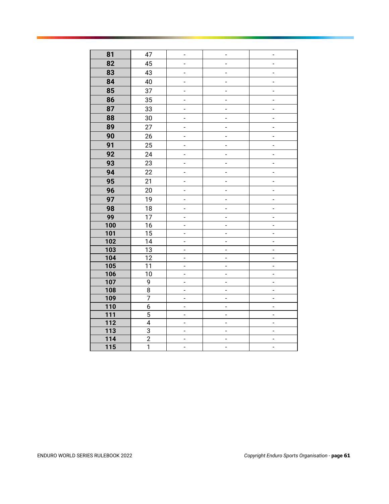| 81               | 47                      | $\overline{\phantom{0}}$ | $\overline{\phantom{0}}$     | -                        |
|------------------|-------------------------|--------------------------|------------------------------|--------------------------|
| 82               | 45                      | -                        | $\qquad \qquad -$            | -                        |
| 83               | 43                      | $\overline{\phantom{a}}$ | $\overline{\phantom{a}}$     | -                        |
| 84               | 40                      | $\overline{\phantom{0}}$ | $\overline{\phantom{0}}$     | $\overline{\phantom{0}}$ |
| 85               | 37                      | $\qquad \qquad -$        | $\overline{\phantom{0}}$     | $\overline{\phantom{0}}$ |
| 86               | 35                      | $\qquad \qquad -$        | $\overline{\phantom{a}}$     | $\overline{\phantom{0}}$ |
| 87               | 33                      | $\overline{\phantom{a}}$ | $\overline{\phantom{a}}$     | ÷                        |
| 88               | 30                      | $\qquad \qquad -$        | $\frac{1}{2}$                | $\overline{\phantom{a}}$ |
| 89               | 27                      | $\overline{\phantom{0}}$ | $\frac{1}{2}$                | $\overline{a}$           |
| 90               | 26                      | $\overline{a}$           | $\overline{a}$               | $\overline{a}$           |
| 91               | 25                      | $\overline{a}$           | $\overline{\phantom{a}}$     | $\overline{a}$           |
| 92               | 24                      | $\overline{\phantom{a}}$ | $\overline{\phantom{a}}$     | $\overline{\phantom{a}}$ |
| 93               | 23                      | $\overline{a}$           | $\qquad \qquad \blacksquare$ | $\overline{a}$           |
| 94               | 22                      | $\overline{\phantom{0}}$ | $\overline{\phantom{0}}$     | $\overline{\phantom{a}}$ |
| 95               | 21                      | $\overline{\phantom{a}}$ | $\overline{\phantom{a}}$     | $\overline{\phantom{a}}$ |
| 96               | 20                      | $\overline{\phantom{a}}$ | $\overline{\phantom{a}}$     | $\overline{\phantom{a}}$ |
| 97               | 19                      | $\overline{\phantom{a}}$ | -                            | $\overline{\phantom{a}}$ |
| 98               | 18                      | $\overline{\phantom{0}}$ | $\overline{\phantom{a}}$     | $\overline{a}$           |
| 99               | $\overline{17}$         | $\overline{\phantom{0}}$ | $\overline{\phantom{0}}$     | $\overline{\phantom{0}}$ |
| 100              | $\overline{16}$         | $\overline{\phantom{a}}$ | $\overline{\phantom{a}}$     | $\overline{a}$           |
| 101              | $\overline{15}$         | $\overline{a}$           | $\overline{\phantom{a}}$     | $\overline{a}$           |
| 102              | $\overline{14}$         | $\overline{\phantom{a}}$ | $\overline{\phantom{a}}$     | $\overline{a}$           |
| 103              | $\overline{13}$         | $\overline{\phantom{a}}$ | $\overline{\phantom{a}}$     | $\overline{a}$           |
| 104              | $\overline{12}$         | $\overline{a}$           | $\frac{1}{2}$                | $\overline{a}$           |
| 105              | 11                      | $\overline{\phantom{a}}$ | $\frac{1}{2}$                | $\overline{a}$           |
| 106              | 10                      | $\overline{a}$           | $\overline{a}$               | $\overline{a}$           |
| 107              | 9                       | $\overline{a}$           | $\overline{a}$               | $\overline{a}$           |
| 108              | 8                       | $\overline{a}$           | $\frac{1}{2}$                | $\overline{a}$           |
| 109              | 7                       | $\blacksquare$           | $\frac{1}{2}$                | $\overline{a}$           |
| 110              | 6                       | $\overline{\phantom{a}}$ | $\overline{\phantom{0}}$     | $\overline{a}$           |
| 111              | 5                       | $\blacksquare$           | $\overline{\phantom{0}}$     | $\overline{a}$           |
| $\overline{112}$ | $\overline{\mathbf{4}}$ | $\overline{\phantom{a}}$ | $\overline{\phantom{0}}$     | $\overline{\phantom{a}}$ |
| 113              | $\overline{3}$          | $\overline{\phantom{a}}$ | $\overline{\phantom{0}}$     | $\overline{\phantom{a}}$ |
| 114              | $\overline{2}$          | $\qquad \qquad -$        | $\overline{\phantom{0}}$     | $\overline{\phantom{a}}$ |
| 115              | $\overline{1}$          | $\overline{a}$           | $\overline{\phantom{a}}$     | $\overline{a}$           |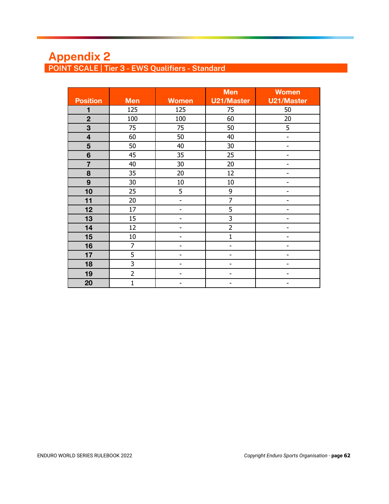# **Appendix 2 POINT SCALE | Tier 3 - EWS Qualifiers - Standard**

|                         |                |                          | <b>Men</b>        | <b>Women</b>      |
|-------------------------|----------------|--------------------------|-------------------|-------------------|
| <b>Position</b>         | <b>Men</b>     | <b>Women</b>             | <b>U21/Master</b> | <b>U21/Master</b> |
| 1                       | 125            | 125                      | 75                | 50                |
| $\overline{2}$          | 100            | 100                      | 60                | 20                |
| 3                       | 75             | 75                       | 50                | 5                 |
| $\overline{\mathbf{4}}$ | 60             | 50                       | 40                | -                 |
| $5\phantom{1}$          | 50             | 40                       | 30                | -                 |
| $6\phantom{1}$          | 45             | 35                       | 25                |                   |
| $\overline{7}$          | 40             | 30                       | 20                |                   |
| 8                       | 35             | 20                       | 12                | -                 |
| 9                       | 30             | 10                       | 10                |                   |
| 10                      | 25             | 5                        | 9                 |                   |
| 11                      | 20             | $\overline{\phantom{a}}$ | $\overline{7}$    | -                 |
| 12                      | 17             |                          | 5                 |                   |
| 13                      | 15             |                          | 3                 |                   |
| 14                      | 12             | ۰                        | $\overline{2}$    | -                 |
| 15                      | 10             | -                        | $\mathbf{1}$      |                   |
| 16                      | $\overline{7}$ |                          |                   |                   |
| 17                      | 5              | -                        | ۰                 | ۰                 |
| 18                      | 3              | -                        |                   |                   |
| 19                      | $\overline{2}$ |                          |                   |                   |
| 20                      | $\mathbf{1}$   |                          |                   |                   |